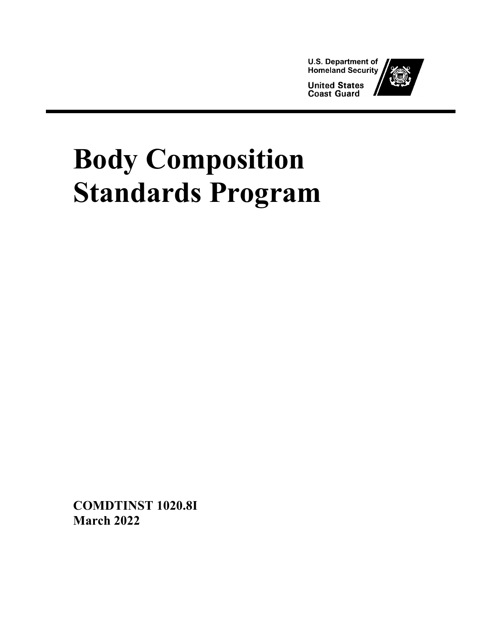

# **Body Composition Standards Program**

**COMDTINST 1020.8I March 2022**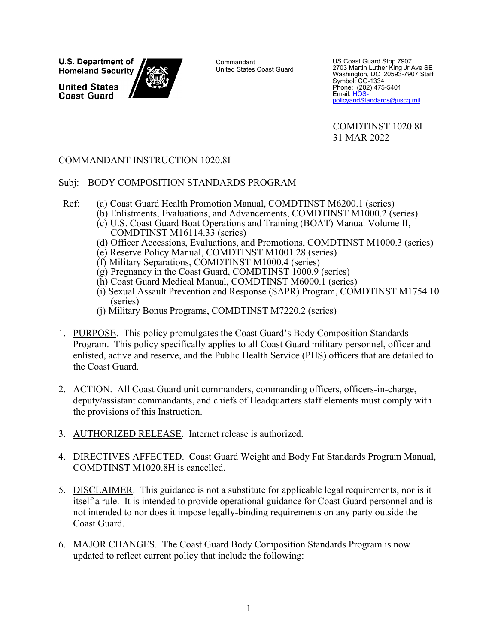**U.S. Department of Homeland Security** 

**United States Coast Guard** 



Commandant US Coast Guard Stop 7907 United States Coast Guard 2703 Martin Luther King Jr Ave SE Washington, DC 20593-7907 Staff Symbol: CG-1334 Phone: (202) 475-5401 Email[: HQS](mailto:HQS-PolicyandStandards@uscg.mil)[policyandStandards@uscg.mil](mailto:HQS-PolicyandStandards@uscg.mil)

> COMDTINST 1020.8I 31 MAR 2022

### COMMANDANT INSTRUCTION 1020.8I

#### Subj: BODY COMPOSITION STANDARDS PROGRAM

- Ref: (a) Coast Guard Health Promotion Manual, COMDTINST M6200.1 (series)
	- (b) Enlistments, Evaluations, and Advancements, COMDTINST M1000.2 (series)
	- (c) U.S. Coast Guard Boat Operations and Training (BOAT) Manual Volume II, COMDTINST M16114.33 (series)
	- (d) Officer Accessions, Evaluations, and Promotions, COMDTINST M1000.3 (series)
	- (e) Reserve Policy Manual, COMDTINST M1001.28 (series)
	- (f) Military Separations, COMDTINST M1000.4 (series)
	- (g) Pregnancy in the Coast Guard, COMDTINST 1000.9 (series)
	- (h) Coast Guard Medical Manual, COMDTINST M6000.1 (series)
	- (i) Sexual Assault Prevention and Response (SAPR) Program, COMDTINST M1754.10 (series)
	- (j) Military Bonus Programs, COMDTINST M7220.2 (series)
- 1. PURPOSE. This policy promulgates the Coast Guard's Body Composition Standards Program. This policy specifically applies to all Coast Guard military personnel, officer and enlisted, active and reserve, and the Public Health Service (PHS) officers that are detailed to the Coast Guard.
- 2. ACTION. All Coast Guard unit commanders, commanding officers, officers-in-charge, deputy/assistant commandants, and chiefs of Headquarters staff elements must comply with the provisions of this Instruction.
- 3. AUTHORIZED RELEASE. Internet release is authorized.
- 4. DIRECTIVES AFFECTED. Coast Guard Weight and Body Fat Standards Program Manual, COMDTINST M1020.8H is cancelled.
- 5. DISCLAIMER. This guidance is not a substitute for applicable legal requirements, nor is it itself a rule. It is intended to provide operational guidance for Coast Guard personnel and is not intended to nor does it impose legally-binding requirements on any party outside the Coast Guard.
- 6. MAJOR CHANGES. The Coast Guard Body Composition Standards Program is now updated to reflect current policy that include the following: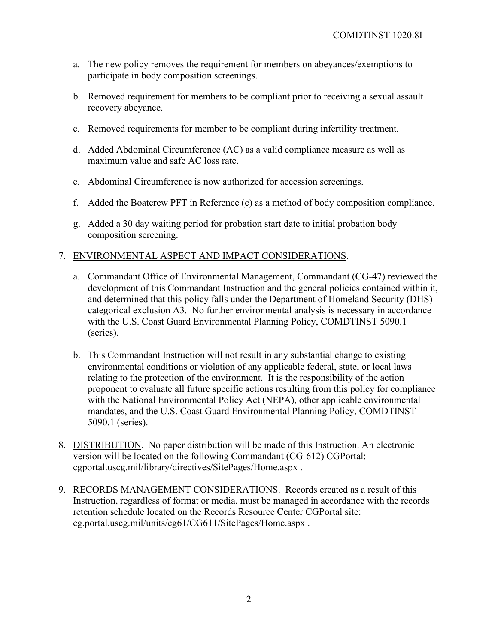- a. The new policy removes the requirement for members on abeyances/exemptions to participate in body composition screenings.
- b. Removed requirement for members to be compliant prior to receiving a sexual assault recovery abeyance.
- c. Removed requirements for member to be compliant during infertility treatment.
- d. Added Abdominal Circumference (AC) as a valid compliance measure as well as maximum value and safe AC loss rate.
- e. Abdominal Circumference is now authorized for accession screenings.
- f. Added the Boatcrew PFT in Reference (c) as a method of body composition compliance.
- g. Added a 30 day waiting period for probation start date to initial probation body composition screening.

#### 7. ENVIRONMENTAL ASPECT AND IMPACT CONSIDERATIONS.

- a. Commandant Office of Environmental Management, Commandant (CG-47) reviewed the development of this Commandant Instruction and the general policies contained within it, and determined that this policy falls under the Department of Homeland Security (DHS) categorical exclusion A3. No further environmental analysis is necessary in accordance with the U.S. Coast Guard Environmental Planning Policy, COMDTINST 5090.1 (series).
- b. This Commandant Instruction will not result in any substantial change to existing environmental conditions or violation of any applicable federal, state, or local laws relating to the protection of the environment. It is the responsibility of the action proponent to evaluate all future specific actions resulting from this policy for compliance with the National Environmental Policy Act (NEPA), other applicable environmental mandates, and the U.S. Coast Guard Environmental Planning Policy, COMDTINST 5090.1 (series).
- 8. DISTRIBUTION. No paper distribution will be made of this Instruction. An electronic version will be located on the following Commandant (CG-612) CGPortal: [cgportal.uscg.mil/library/directives/SitePages/Home.aspx .](https://cgportal.uscg.mil/library/directives/SitePages/Home.aspx)
- 9. RECORDS MANAGEMENT CONSIDERATIONS. Records created as a result of this Instruction, regardless of format or media, must be managed in accordance with the records retention schedule located on the Records Resource Center CGPortal site: [cg.portal.uscg.mil/units/cg61/CG611/SitePages/Home.aspx](https://cg.portal.uscg.mil/units/cg61/CG611/SitePages/Home.aspx) .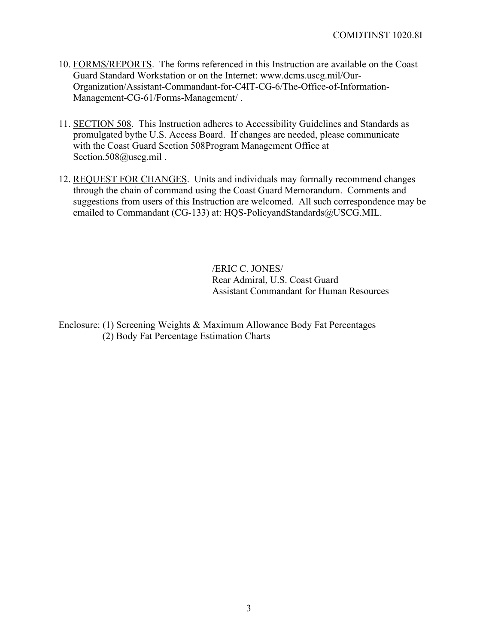- 10. FORMS/REPORTS. The forms referenced in this Instruction are available on the Coast Guard Standard Workstation or on the Internet: [www.dcms.uscg.mil/Our-](http://www.dcms.uscg.mil/Our-)[Organization/Assistant-Commandant-for-C4IT-CG-6/The-Office-of-Information-](https://www.dcms.uscg.mil/Our-Organization/Assistant-Commandant-for-C4IT-CG-6/The-Office-of-Information-Management-CG-61/Forms-Management/)[Management-CG-61/Forms-Management/](https://www.dcms.uscg.mil/Our-Organization/Assistant-Commandant-for-C4IT-CG-6/The-Office-of-Information-Management-CG-61/Forms-Management/) .
- 11. SECTION 508. This Instruction adheres to Accessibility Guidelines and Standards as promulgated by the U.S. Access Board. If changes are needed, please communicate with the Coast Guard Section 508 Program Management Office at Section.508@uscg.mil.
- 12. REQUEST FOR CHANGES. Units and individuals may formally recommend changes through the chain of command using the Coast Guard Memorandum. Comments and suggestions from users of this Instruction are welcomed. All such correspondence may be emailed to Commandant (CG-133) at: HQS-PolicyandStandards@USCG.MIL.

/ERIC C. JONES/ Rear Admiral, U.S. Coast Guard Assistant Commandant for Human Resources

Enclosure: (1) Screening Weights & Maximum Allowance Body Fat Percentages (2) Body Fat Percentage Estimation Charts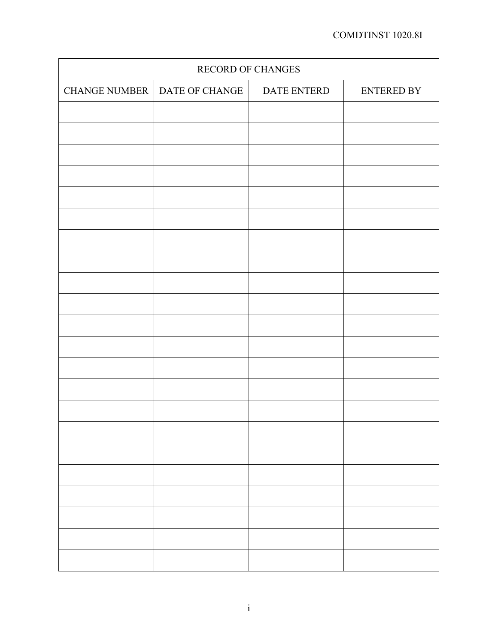|                      | RECORD OF CHANGES |             |                   |
|----------------------|-------------------|-------------|-------------------|
| <b>CHANGE NUMBER</b> | DATE OF CHANGE    | DATE ENTERD | <b>ENTERED BY</b> |
|                      |                   |             |                   |
|                      |                   |             |                   |
|                      |                   |             |                   |
|                      |                   |             |                   |
|                      |                   |             |                   |
|                      |                   |             |                   |
|                      |                   |             |                   |
|                      |                   |             |                   |
|                      |                   |             |                   |
|                      |                   |             |                   |
|                      |                   |             |                   |
|                      |                   |             |                   |
|                      |                   |             |                   |
|                      |                   |             |                   |
|                      |                   |             |                   |
|                      |                   |             |                   |
|                      |                   |             |                   |
|                      |                   |             |                   |
|                      |                   |             |                   |
|                      |                   |             |                   |
|                      |                   |             |                   |
|                      |                   |             |                   |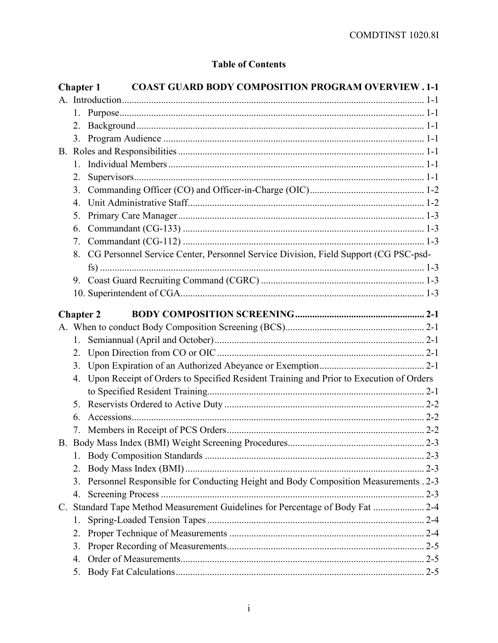# **Table of Contents**

|    | <b>COAST GUARD BODY COMPOSITION PROGRAM OVERVIEW.1-1</b><br><b>Chapter 1</b>           |
|----|----------------------------------------------------------------------------------------|
|    |                                                                                        |
|    |                                                                                        |
| 2. |                                                                                        |
| 3. |                                                                                        |
|    |                                                                                        |
| 1. |                                                                                        |
| 2. |                                                                                        |
| 3. |                                                                                        |
| 4. |                                                                                        |
| 5. |                                                                                        |
| 6. |                                                                                        |
| 7. |                                                                                        |
| 8. | CG Personnel Service Center, Personnel Service Division, Field Support (CG PSC-psd-    |
|    |                                                                                        |
|    |                                                                                        |
|    |                                                                                        |
|    | <b>Chapter 2</b>                                                                       |
|    |                                                                                        |
| 1. |                                                                                        |
| 2. |                                                                                        |
| 3. |                                                                                        |
| 4. | Upon Receipt of Orders to Specified Resident Training and Prior to Execution of Orders |
|    |                                                                                        |
| 5. |                                                                                        |
| 6. |                                                                                        |
| 7. |                                                                                        |
|    |                                                                                        |
| 1. |                                                                                        |
| 2. |                                                                                        |
| 3. | Personnel Responsible for Conducting Height and Body Composition Measurements . 2-3    |
| 4. |                                                                                        |
|    | C. Standard Tape Method Measurement Guidelines for Percentage of Body Fat  2-4         |
| 1. |                                                                                        |
| 2. |                                                                                        |
| 3. |                                                                                        |
| 4. |                                                                                        |
| 5. |                                                                                        |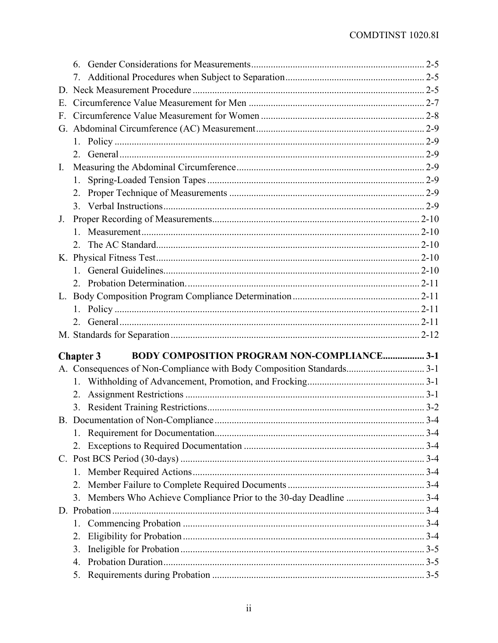| $E_{\rm{eff}}$ |                                                                        |  |
|----------------|------------------------------------------------------------------------|--|
| $F_{\cdot}$    |                                                                        |  |
|                |                                                                        |  |
|                |                                                                        |  |
|                |                                                                        |  |
| Ι.             |                                                                        |  |
|                |                                                                        |  |
|                | 2.                                                                     |  |
|                |                                                                        |  |
| J.             |                                                                        |  |
|                |                                                                        |  |
|                |                                                                        |  |
|                |                                                                        |  |
|                |                                                                        |  |
|                |                                                                        |  |
|                |                                                                        |  |
|                |                                                                        |  |
|                |                                                                        |  |
|                |                                                                        |  |
|                |                                                                        |  |
|                |                                                                        |  |
|                | <b>BODY COMPOSITION PROGRAM NON-COMPLIANCE 3-1</b><br><b>Chapter 3</b> |  |
|                | A. Consequences of Non-Compliance with Body Composition Standards3-1   |  |
|                |                                                                        |  |
|                |                                                                        |  |
|                |                                                                        |  |
|                |                                                                        |  |
|                |                                                                        |  |
|                | 2.                                                                     |  |
|                |                                                                        |  |
|                | 1.                                                                     |  |
|                | 2.                                                                     |  |
|                | 3.                                                                     |  |
|                |                                                                        |  |
|                | 1.                                                                     |  |
|                | 2.                                                                     |  |
|                | 3.<br>4.                                                               |  |
|                | 5.                                                                     |  |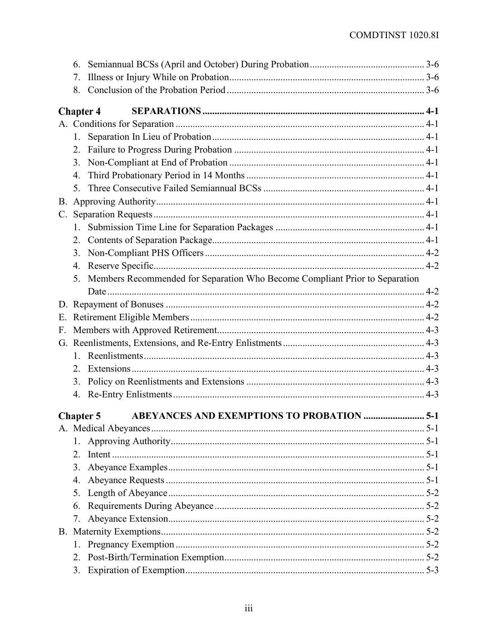|             | 6. |                                                                             |  |
|-------------|----|-----------------------------------------------------------------------------|--|
|             | 7. |                                                                             |  |
|             | 8. |                                                                             |  |
|             |    | <b>Chapter 4</b>                                                            |  |
|             |    |                                                                             |  |
|             | 1. |                                                                             |  |
|             | 2. |                                                                             |  |
|             | 3. |                                                                             |  |
|             | 4. |                                                                             |  |
|             | 5. |                                                                             |  |
| B.          |    |                                                                             |  |
| $C_{\cdot}$ |    |                                                                             |  |
|             | 1. |                                                                             |  |
|             | 2. |                                                                             |  |
|             | 3. |                                                                             |  |
|             | 4. |                                                                             |  |
|             | 5. | Members Recommended for Separation Who Become Compliant Prior to Separation |  |
|             |    |                                                                             |  |
|             |    |                                                                             |  |
| Е.          |    |                                                                             |  |
| $F_{\cdot}$ |    |                                                                             |  |
|             |    |                                                                             |  |
|             |    |                                                                             |  |
|             | 2. |                                                                             |  |
|             | 3. |                                                                             |  |
|             |    |                                                                             |  |
|             |    | <b>Chapter 5</b>                                                            |  |
|             |    |                                                                             |  |
|             |    |                                                                             |  |
|             | 2. |                                                                             |  |
|             | 3. |                                                                             |  |
|             | 4. |                                                                             |  |
|             | 5. |                                                                             |  |
|             | 6. |                                                                             |  |
|             | 7. |                                                                             |  |
|             |    |                                                                             |  |
|             |    |                                                                             |  |
|             | 2. |                                                                             |  |
|             | 3. |                                                                             |  |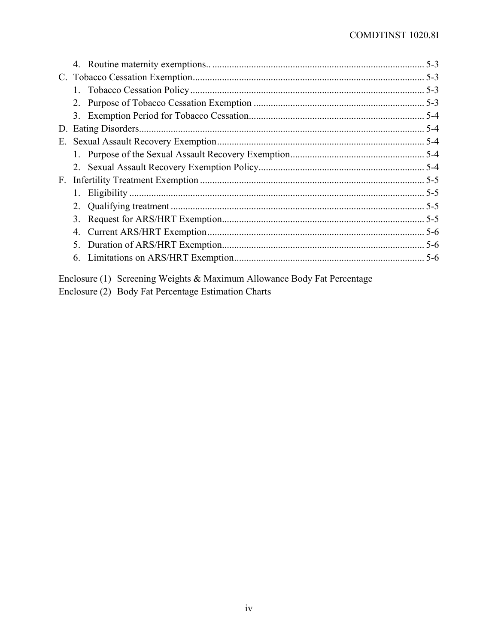| 2. |  |
|----|--|
|    |  |
| 4. |  |
| 5. |  |
|    |  |
|    |  |

Enclosure (1) Screening Weights & Maximum Allowance Body Fat Percentage Enclosure (2) Body Fat Percentage Estimation Charts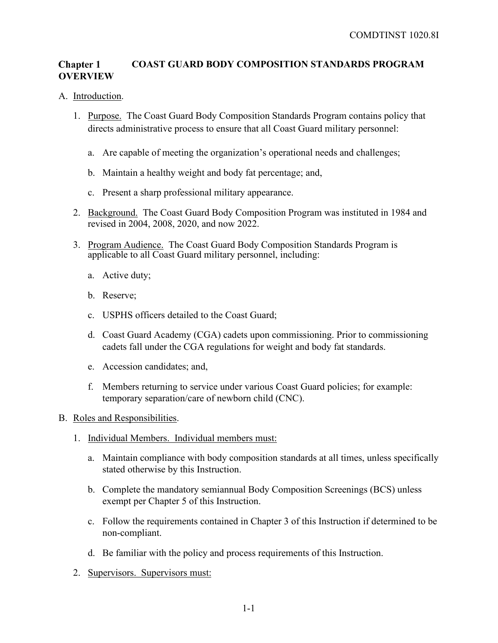#### <span id="page-9-0"></span>**COAST GUARD BODY COMPOSITION STANDARDS PROGRAM Chapter 1 OVERVIEW**

- A. Introduction.
	- 1. Purpose. The Coast Guard Body Composition Standards Program contains policy that directs administrative process to ensure that all Coast Guard military personnel:
		- a. Are capable of meeting the organization's operational needs and challenges;
		- b. Maintain a healthy weight and body fat percentage; and,
		- c. Present a sharp professional military appearance.
	- 2. Background. The Coast Guard Body Composition Program was instituted in 1984 and revised in 2004, 2008, 2020, and now 2022.
	- 3. Program Audience. The Coast Guard Body Composition Standards Program is applicable to all Coast Guard military personnel, including:
		- a. Active duty;
		- b. Reserve;
		- c. USPHS officers detailed to the Coast Guard;
		- d. Coast Guard Academy (CGA) cadets upon commissioning. Prior to commissioning cadets fall under the CGA regulations for weight and body fat standards.
		- e. Accession candidates; and,
		- f. Members returning to service under various Coast Guard policies; for example: temporary separation/care of newborn child (CNC).

#### B. Roles and Responsibilities.

- 1. Individual Members. Individual members must:
	- a. Maintain compliance with body composition standards at all times, unless specifically stated otherwise by this Instruction.
	- b. Complete the mandatory semiannual Body Composition Screenings (BCS) unless exempt per Chapter 5 of this Instruction.
	- c. Follow the requirements contained in Chapter 3 of this Instruction if determined to be non-compliant.
	- d. Be familiar with the policy and process requirements of this Instruction.
- 2. Supervisors. Supervisors must: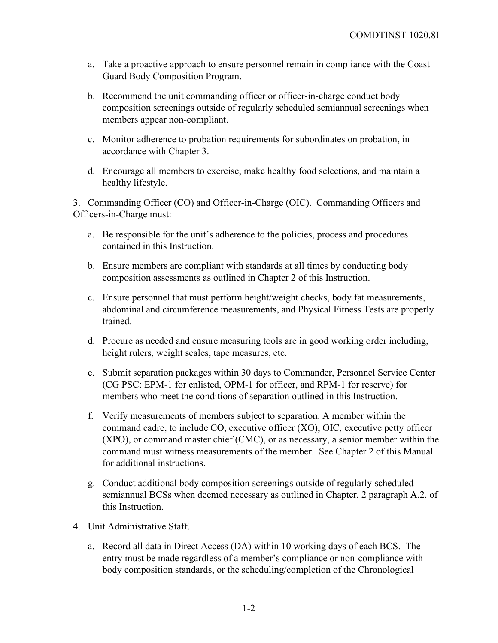- <span id="page-10-0"></span>a. Take a proactive approach to ensure personnel remain in compliance with the Coast Guard Body Composition Program.
- b. Recommend the unit commanding officer or officer-in-charge conduct body composition screenings outside of regularly scheduled semiannual screenings when members appear non-compliant.
- c. Monitor adherence to probation requirements for subordinates on probation, in accordance with Chapter 3.
- d. Encourage all members to exercise, make healthy food selections, and maintain a healthy lifestyle.

3. Commanding Officer (CO) and Officer-in-Charge (OIC). Commanding Officers and Officers-in-Charge must:

- a. Be responsible for the unit's adherence to the policies, process and procedures contained in this Instruction.
- b. Ensure members are compliant with standards at all times by conducting body composition assessments as outlined in Chapter 2 of this Instruction.
- c. Ensure personnel that must perform height/weight checks, body fat measurements, abdominal and circumference measurements, and Physical Fitness Tests are properly trained.
- d. Procure as needed and ensure measuring tools are in good working order including, height rulers, weight scales, tape measures, etc.
- e. Submit separation packages within 30 days to Commander, Personnel Service Center (CG PSC: EPM-1 for enlisted, OPM-1 for officer, and RPM-1 for reserve) for members who meet the conditions of separation outlined in this Instruction.
- f. Verify measurements of members subject to separation. A member within the command cadre, to include CO, executive officer (XO), OIC, executive petty officer (XPO), or command master chief (CMC), or as necessary, a senior member within the command must witness measurements of the member. See Chapter 2 of this Manual for additional instructions.
- g. Conduct additional body composition screenings outside of regularly scheduled semiannual BCSs when deemed necessary as outlined in Chapter, 2 paragraph A.2. of this Instruction.
- 4. Unit Administrative Staff.
	- a. Record all data in Direct Access (DA) within 10 working days of each BCS. The entry must be made regardless of a member's compliance or non-compliance with body composition standards, or the scheduling/completion of the Chronological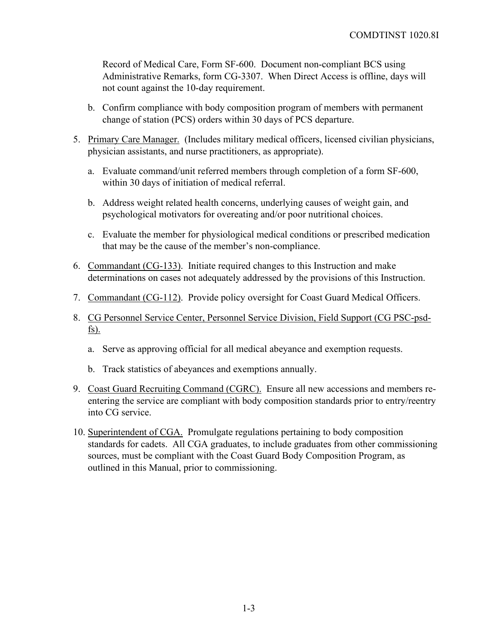<span id="page-11-0"></span> Administrative Remarks, form CG-3307. When Direct Access is offline, days will Record of Medical Care, Form SF-600. Document non-compliant BCS using not count against the 10-day requirement.

- b. Confirm compliance with body composition program of members with permanent change of station (PCS) orders within 30 days of PCS departure.
- 5. Primary Care Manager. (Includes military medical officers, licensed civilian physicians, physician assistants, and nurse practitioners, as appropriate).
	- a. Evaluate command/unit referred members through completion of a form SF-600, within 30 days of initiation of medical referral.
	- b. Address weight related health concerns, underlying causes of weight gain, and psychological motivators for overeating and/or poor nutritional choices.
	- c. Evaluate the member for physiological medical conditions or prescribed medication that may be the cause of the member's non-compliance.
- 6. Commandant (CG-133). Initiate required changes to this Instruction and make determinations on cases not adequately addressed by the provisions of this Instruction.
- 7. Commandant (CG-112). Provide policy oversight for Coast Guard Medical Officers.
- 8. CG Personnel Service Center, Personnel Service Division, Field Support (CG PSC-psdfs).
	- a. Serve as approving official for all medical abeyance and exemption requests.
	- b. Track statistics of abeyances and exemptions annually.
- 9. Coast Guard Recruiting Command (CGRC). Ensure all new accessions and members reentering the service are compliant with body composition standards prior to entry/reentry into CG service.
- 10. Superintendent of CGA. Promulgate regulations pertaining to body composition standards for cadets. All CGA graduates, to include graduates from other commissioning sources, must be compliant with the Coast Guard Body Composition Program, as outlined in this Manual, prior to commissioning.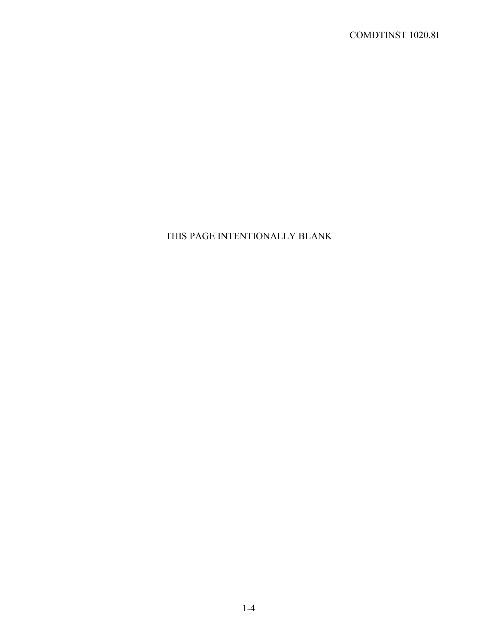# THIS PAGE INTENTIONALLY BLANK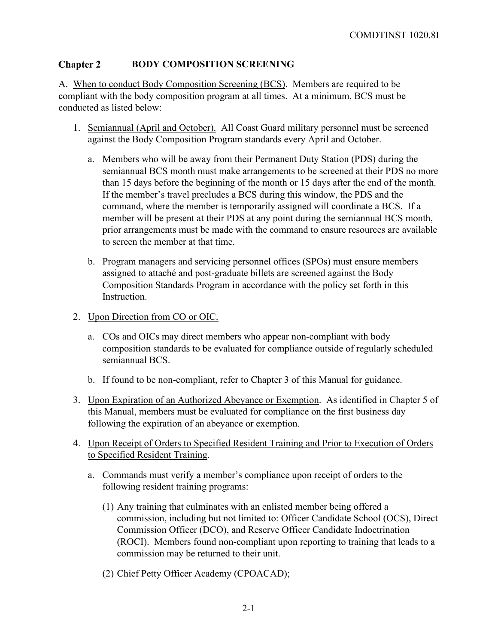#### <span id="page-13-0"></span>**Chapter 2 BODY COMPOSITION SCREENING**

A. When to conduct Body Composition Screening (BCS). Members are required to be compliant with the body composition program at all times. At a minimum, BCS must be conducted as listed below:

- 1. Semiannual (April and October). All Coast Guard military personnel must be screened against the Body Composition Program standards every April and October.
	- a. Members who will be away from their Permanent Duty Station (PDS) during the semiannual BCS month must make arrangements to be screened at their PDS no more than 15 days before the beginning of the month or 15 days after the end of the month. If the member's travel precludes a BCS during this window, the PDS and the command, where the member is temporarily assigned will coordinate a BCS. If a member will be present at their PDS at any point during the semiannual BCS month, prior arrangements must be made with the command to ensure resources are available to screen the member at that time.
	- b. Program managers and servicing personnel offices (SPOs) must ensure members assigned to attaché and post-graduate billets are screened against the Body Composition Standards Program in accordance with the policy set forth in this Instruction.
- 2. Upon Direction from CO or OIC.
	- a. COs and OICs may direct members who appear non-compliant with body composition standards to be evaluated for compliance outside of regularly scheduled semiannual BCS.
	- b. If found to be non-compliant, refer to Chapter 3 of this Manual for guidance.
- 3. Upon Expiration of an Authorized Abeyance or Exemption. As identified in Chapter 5 of this Manual, members must be evaluated for compliance on the first business day following the expiration of an abeyance or exemption.
- 4. Upon Receipt of Orders to Specified Resident Training and Prior to Execution of Orders to Specified Resident Training.
	- a. Commands must verify a member's compliance upon receipt of orders to the following resident training programs:
		- (1) Any training that culminates with an enlisted member being offered a commission, including but not limited to: Officer Candidate School (OCS), Direct Commission Officer (DCO), and Reserve Officer Candidate Indoctrination (ROCI). Members found non-compliant upon reporting to training that leads to a commission may be returned to their unit.
		- (2) Chief Petty Officer Academy (CPOACAD);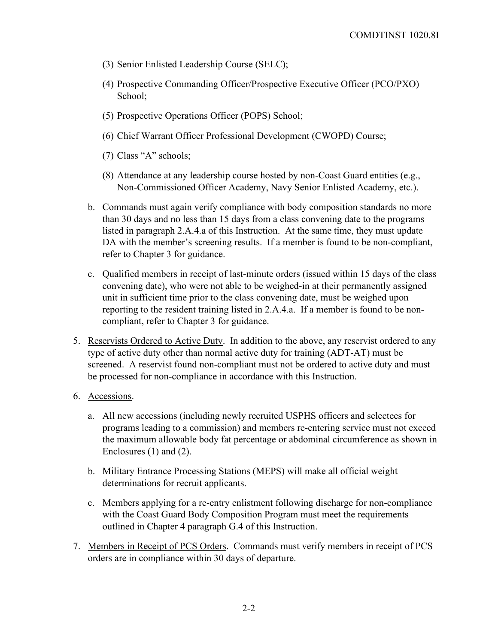- <span id="page-14-0"></span>(3) Senior Enlisted Leadership Course (SELC);
- (4) Prospective Commanding Officer/Prospective Executive Officer (PCO/PXO) School;
- (5) Prospective Operations Officer (POPS) School;
- (6) Chief Warrant Officer Professional Development (CWOPD) Course;
- (7) Class "A" schools;
- (8) Attendance at any leadership course hosted by non-Coast Guard entities (e.g., Non-Commissioned Officer Academy, Navy Senior Enlisted Academy, etc.).
- b. Commands must again verify compliance with body composition standards no more than 30 days and no less than 15 days from a class convening date to the programs listed in paragraph 2.A.4.a of this Instruction. At the same time, they must update DA with the member's screening results. If a member is found to be non-compliant, refer to Chapter 3 for guidance.
- c. Qualified members in receipt of last-minute orders (issued within 15 days of the class convening date), who were not able to be weighed-in at their permanently assigned unit in sufficient time prior to the class convening date, must be weighed upon reporting to the resident training listed in 2.A.4.a. If a member is found to be noncompliant, refer to Chapter 3 for guidance.
- 5. Reservists Ordered to Active Duty. In addition to the above, any reservist ordered to any type of active duty other than normal active duty for training (ADT-AT) must be screened. A reservist found non-compliant must not be ordered to active duty and must be processed for non-compliance in accordance with this Instruction.
- 6. Accessions.
	- the maximum allowable body fat percentage or abdominal circumference as shown in Enclosures (1) and (2). a. All new accessions (including newly recruited USPHS officers and selectees for programs leading to a commission) and members re-entering service must not exceed
	- b. Military Entrance Processing Stations (MEPS) will make all official weight determinations for recruit applicants.
	- c. Members applying for a re-entry enlistment following discharge for non-compliance with the Coast Guard Body Composition Program must meet the requirements outlined in Chapter 4 paragraph G.4 of this Instruction.
- 7. Members in Receipt of PCS Orders. Commands must verify members in receipt of PCS orders are in compliance within 30 days of departure.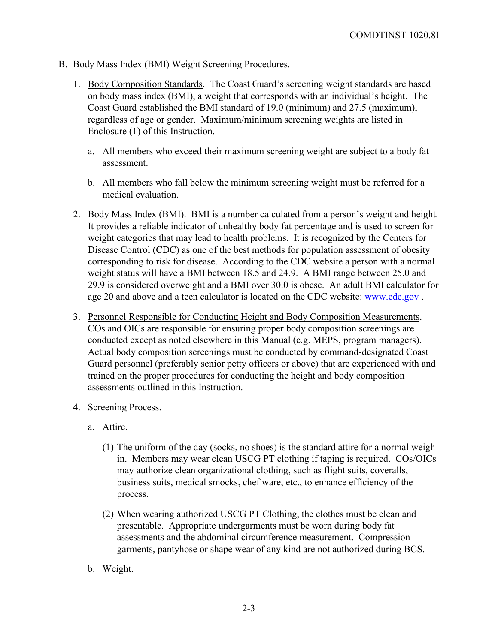- <span id="page-15-0"></span>B. Body Mass Index (BMI) Weight Screening Procedures.
	- Coast Guard established the BMI standard of 19.0 (minimum) and 27.5 (maximum), Enclosure (1) of this Instruction. 1. Body Composition Standards. The Coast Guard's screening weight standards are based on body mass index (BMI), a weight that corresponds with an individual's height. The regardless of age or gender. Maximum/minimum screening weights are listed in
		- a. All members who exceed their maximum screening weight are subject to a body fat assessment.
		- b. All members who fall below the minimum screening weight must be referred for a medical evaluation.
	- 2. Body Mass Index (BMI). BMI is a number calculated from a person's weight and height. It provides a reliable indicator of unhealthy body fat percentage and is used to screen for weight categories that may lead to health problems. It is recognized by the Centers for Disease Control (CDC) as one of the best methods for population assessment of obesity corresponding to risk for disease. According to the CDC website a person with a normal weight status will have a BMI between 18.5 and 24.9. A BMI range between 25.0 and 29.9 is considered overweight and a BMI over 30.0 is obese. An adult BMI calculator for age 20 and above and a teen calculator is located on the CDC website: [www.cdc.gov](file://Hqs-nas-t-009/CG-1/CG-13/CG-133/Directives/1020.8%20-%20Body%20Composition%20Program/M1020.8I_CG%20Body%20Comp%20Program/2022%20Concurrent%20Clearance%20w%20PFT/Final%20Package%20for%20submission/612%20Revisions/www.cdc.gov) .
	- 3. Personnel Responsible for Conducting Height and Body Composition Measurements. COs and OICs are responsible for ensuring proper body composition screenings are conducted except as noted elsewhere in this Manual (e.g. MEPS, program managers). Actual body composition screenings must be conducted by command-designated Coast Guard personnel (preferably senior petty officers or above) that are experienced with and trained on the proper procedures for conducting the height and body composition assessments outlined in this Instruction.
	- 4. Screening Process.
		- a. Attire.
			- (1) The uniform of the day (socks, no shoes) is the standard attire for a normal weigh in. Members may wear clean USCG PT clothing if taping is required. COs/OICs may authorize clean organizational clothing, such as flight suits, coveralls, business suits, medical smocks, chef ware, etc., to enhance efficiency of the process.
			- (2) When wearing authorized USCG PT Clothing, the clothes must be clean and presentable. Appropriate undergarments must be worn during body fat assessments and the abdominal circumference measurement. Compression garments, pantyhose or shape wear of any kind are not authorized during BCS.
		- b. Weight.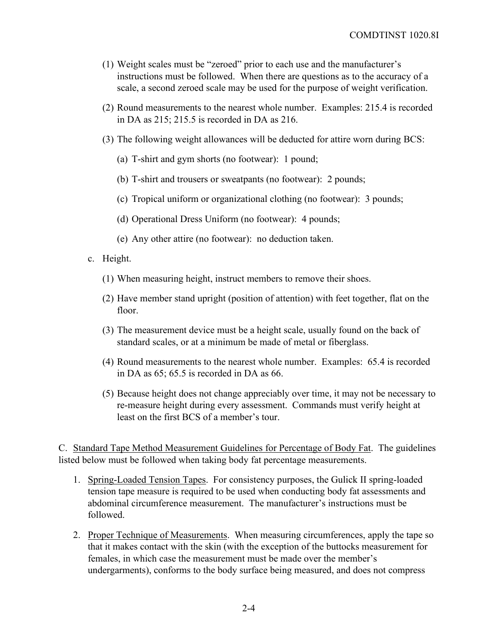- <span id="page-16-0"></span>(1) Weight scales must be "zeroed" prior to each use and the manufacturer's instructions must be followed. When there are questions as to the accuracy of a scale, a second zeroed scale may be used for the purpose of weight verification.
- in DA as 215; 215.5 is recorded in DA as 216. (2) Round measurements to the nearest whole number. Examples: 215.4 is recorded
- (3) The following weight allowances will be deducted for attire worn during BCS:
	- (a) T-shirt and gym shorts (no footwear): 1 pound;
	- (b) T-shirt and trousers or sweatpants (no footwear): 2 pounds;
	- (c) Tropical uniform or organizational clothing (no footwear): 3 pounds;
	- (d) Operational Dress Uniform (no footwear): 4 pounds;
	- (e) Any other attire (no footwear): no deduction taken.
- c. Height.
	- (1) When measuring height, instruct members to remove their shoes.
	- (2) Have member stand upright (position of attention) with feet together, flat on the floor.
	- (3) The measurement device must be a height scale, usually found on the back of standard scales, or at a minimum be made of metal or fiberglass.
	- (4) Round measurements to the nearest whole number. Examples: 65.4 is recorded in DA as 65; 65.5 is recorded in DA as 66.
	- (5) Because height does not change appreciably over time, it may not be necessary to re-measure height during every assessment. Commands must verify height at least on the first BCS of a member's tour.

C. Standard Tape Method Measurement Guidelines for Percentage of Body Fat. The guidelines listed below must be followed when taking body fat percentage measurements.

- abdominal circumference measurement. The manufacturer's instructions must be 1. Spring-Loaded Tension Tapes. For consistency purposes, the Gulick II spring-loaded tension tape measure is required to be used when conducting body fat assessments and followed.
- 2. Proper Technique of Measurements. When measuring circumferences, apply the tape so that it makes contact with the skin (with the exception of the buttocks measurement for females, in which case the measurement must be made over the member's undergarments), conforms to the body surface being measured, and does not compress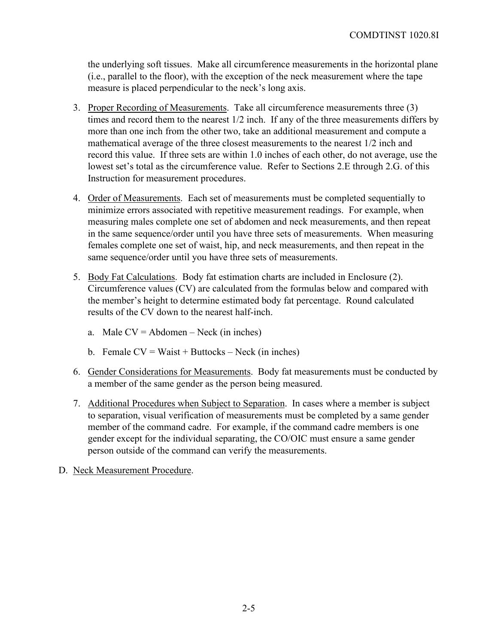<span id="page-17-0"></span>the underlying soft tissues. Make all circumference measurements in the horizontal plane (i.e., parallel to the floor), with the exception of the neck measurement where the tape measure is placed perpendicular to the neck's long axis.

- 3. Proper Recording of Measurements. Take all circumference measurements three (3) times and record them to the nearest 1/2 inch. If any of the three measurements differs by more than one inch from the other two, take an additional measurement and compute a mathematical average of the three closest measurements to the nearest 1/2 inch and record this value. If three sets are within 1.0 inches of each other, do not average, use the lowest set's total as the circumference value. Refer to Sections 2.E through 2.G. of this Instruction for measurement procedures.
- 4. Order of Measurements. Each set of measurements must be completed sequentially to minimize errors associated with repetitive measurement readings. For example, when measuring males complete one set of abdomen and neck measurements, and then repeat in the same sequence/order until you have three sets of measurements. When measuring females complete one set of waist, hip, and neck measurements, and then repeat in the same sequence/order until you have three sets of measurements.
- 5. Body Fat Calculations. Body fat estimation charts are included in Enclosure (2).  $Circumference$  values  $(CV)$  are calculated from the formulas below and compared with the member's height to determine estimated body fat percentage. Round calculated results of the CV down to the nearest half-inch.
	- a. Male  $CV = Abdomen Neck$  (in inches)
	- b. Female  $CV = Wait + But tocks Neck (in inches)$
- 6. Gender Considerations for Measurements. Body fat measurements must be conducted by a member of the same gender as the person being measured.
- 7. Additional Procedures when Subject to Separation. In cases where a member is subject to separation, visual verification of measurements must be completed by a same gender member of the command cadre. For example, if the command cadre members is one gender except for the individual separating, the CO/OIC must ensure a same gender person outside of the command can verify the measurements.
- D. Neck Measurement Procedure.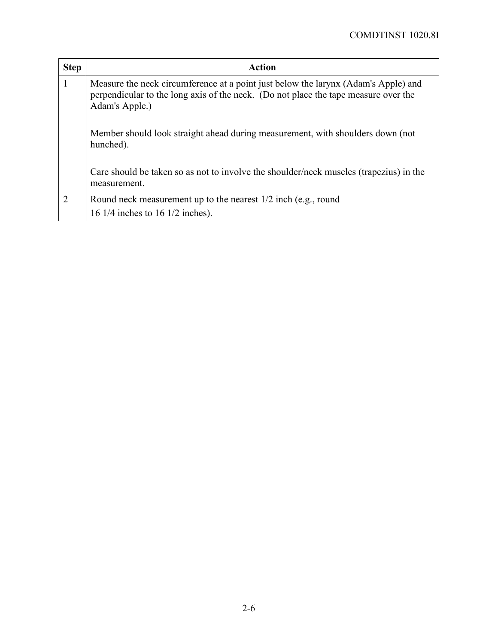| <b>Step</b>    | Action                                                                                                                                                                                      |
|----------------|---------------------------------------------------------------------------------------------------------------------------------------------------------------------------------------------|
| 1              | Measure the neck circumference at a point just below the larynx (Adam's Apple) and<br>perpendicular to the long axis of the neck. (Do not place the tape measure over the<br>Adam's Apple.) |
|                | Member should look straight ahead during measurement, with shoulders down (not<br>hunched).                                                                                                 |
|                | Care should be taken so as not to involve the shoulder/neck muscles (trapezius) in the<br>measurement.                                                                                      |
| $\overline{2}$ | Round neck measurement up to the nearest $1/2$ inch (e.g., round<br>16 $1/4$ inches to 16 $1/2$ inches).                                                                                    |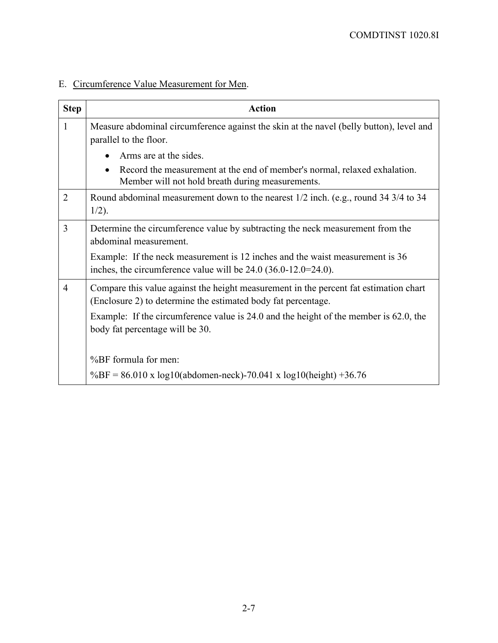# E. Circumference Value Measurement for Men.

| <b>Step</b>    | Action                                                                                                                                                 |
|----------------|--------------------------------------------------------------------------------------------------------------------------------------------------------|
| 1              | Measure abdominal circumference against the skin at the navel (belly button), level and<br>parallel to the floor.                                      |
|                | Arms are at the sides.                                                                                                                                 |
|                | Record the measurement at the end of member's normal, relaxed exhalation.<br>$\bullet$<br>Member will not hold breath during measurements.             |
| $\overline{2}$ | Round abdominal measurement down to the nearest 1/2 inch. (e.g., round 34 3/4 to 34<br>$1/2$ ).                                                        |
| 3              | Determine the circumference value by subtracting the neck measurement from the<br>abdominal measurement.                                               |
|                | Example: If the neck measurement is 12 inches and the waist measurement is 36<br>inches, the circumference value will be $24.0$ (36.0-12.0=24.0).      |
| $\overline{4}$ | Compare this value against the height measurement in the percent fat estimation chart<br>(Enclosure 2) to determine the estimated body fat percentage. |
|                | Example: If the circumference value is 24.0 and the height of the member is 62.0, the<br>body fat percentage will be 30.                               |
|                |                                                                                                                                                        |
|                | %BF formula for men:                                                                                                                                   |
|                | %BF = $86.010 \times \log 10$ (abdomen-neck)-70.041 x log10(height) +36.76                                                                             |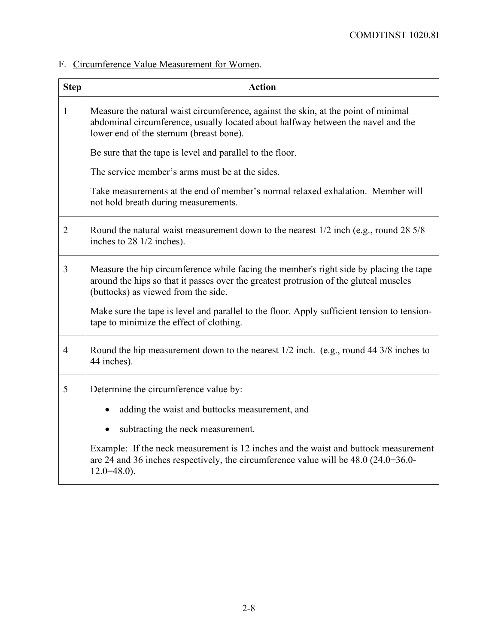# F. Circumference Value Measurement for Women.

| <b>Step</b>    | <b>Action</b>                                                                                                                                                                                                          |
|----------------|------------------------------------------------------------------------------------------------------------------------------------------------------------------------------------------------------------------------|
| $\mathbf{1}$   | Measure the natural waist circumference, against the skin, at the point of minimal<br>abdominal circumference, usually located about halfway between the navel and the<br>lower end of the sternum (breast bone).      |
|                | Be sure that the tape is level and parallel to the floor.                                                                                                                                                              |
|                | The service member's arms must be at the sides.                                                                                                                                                                        |
|                | Take measurements at the end of member's normal relaxed exhalation. Member will<br>not hold breath during measurements.                                                                                                |
| $\overline{2}$ | Round the natural waist measurement down to the nearest $1/2$ inch (e.g., round 28 $5/8$ )<br>inches to 28 1/2 inches).                                                                                                |
| 3              | Measure the hip circumference while facing the member's right side by placing the tape<br>around the hips so that it passes over the greatest protrusion of the gluteal muscles<br>(buttocks) as viewed from the side. |
|                | Make sure the tape is level and parallel to the floor. Apply sufficient tension to tension-<br>tape to minimize the effect of clothing.                                                                                |
| $\overline{4}$ | Round the hip measurement down to the nearest $1/2$ inch. (e.g., round 44 3/8 inches to<br>44 inches).                                                                                                                 |
| 5              | Determine the circumference value by:                                                                                                                                                                                  |
|                | adding the waist and buttocks measurement, and                                                                                                                                                                         |
|                | subtracting the neck measurement.                                                                                                                                                                                      |
|                | Example: If the neck measurement is 12 inches and the waist and buttock measurement<br>are 24 and 36 inches respectively, the circumference value will be $48.0$ (24.0+36.0-<br>$12.0 = 48.0$ .                        |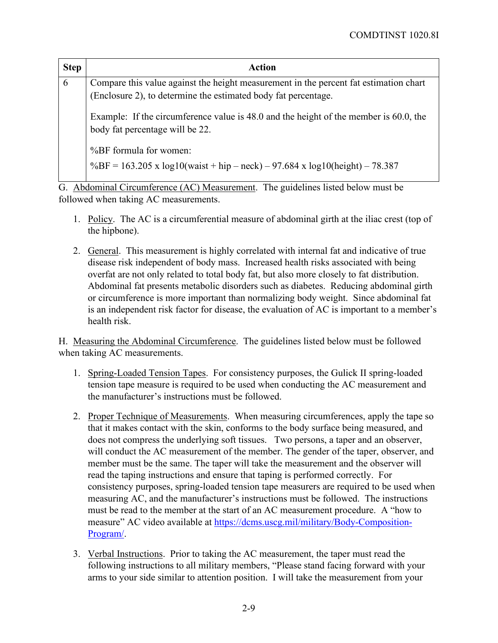| <b>Step</b> | <b>Action</b>                                                                                                            |
|-------------|--------------------------------------------------------------------------------------------------------------------------|
| 6           | Compare this value against the height measurement in the percent fat estimation chart                                    |
|             | (Enclosure 2), to determine the estimated body fat percentage.                                                           |
|             | Example: If the circumference value is 48.0 and the height of the member is 60.0, the<br>body fat percentage will be 22. |
|             | %BF formula for women:                                                                                                   |
|             | %BF = 163.205 x log10(waist + hip – neck) – 97.684 x log10(height) – 78.387                                              |

G. Abdominal Circumference (AC) Measurement. The guidelines listed below must be followed when taking AC measurements.

- 1. Policy. The AC is a circumferential measure of abdominal girth at the iliac crest (top of the hipbone).
- 2. General. This measurement is highly correlated with internal fat and indicative of true disease risk independent of body mass. Increased health risks associated with being overfat are not only related to total body fat, but also more closely to fat distribution. Abdominal fat presents metabolic disorders such as diabetes. Reducing abdominal girth or circumference is more important than normalizing body weight. Since abdominal fat is an independent risk factor for disease, the evaluation of AC is important to a member's health risk.

H. Measuring the Abdominal Circumference. The guidelines listed below must be followed when taking AC measurements.

- 1. Spring-Loaded Tension Tapes. For consistency purposes, the Gulick II spring-loaded tension tape measure is required to be used when conducting the AC measurement and the manufacturer's instructions must be followed.
- member must be the same. The taper will take the measurement and the observer will consistency purposes, spring-loaded tension tape measurers are required to be used when 2. Proper Technique of Measurements. When measuring circumferences, apply the tape so that it makes contact with the skin, conforms to the body surface being measured, and does not compress the underlying soft tissues. Two persons, a taper and an observer, will conduct the AC measurement of the member. The gender of the taper, observer, and read the taping instructions and ensure that taping is performed correctly. For measuring AC, and the manufacturer's instructions must be followed. The instructions must be read to the member at the start of an AC measurement procedure. A "how to measure" AC video available at [https://dcms.uscg.mil/military/Body-Composition-](https://dcms.uscg.mil/military/Body-Composition-Program/)[Program/.](https://dcms.uscg.mil/military/Body-Composition-Program/)
- 3. Verbal Instructions. Prior to taking the AC measurement, the taper must read the following instructions to all military members, "Please stand facing forward with your arms to your side similar to attention position. I will take the measurement from your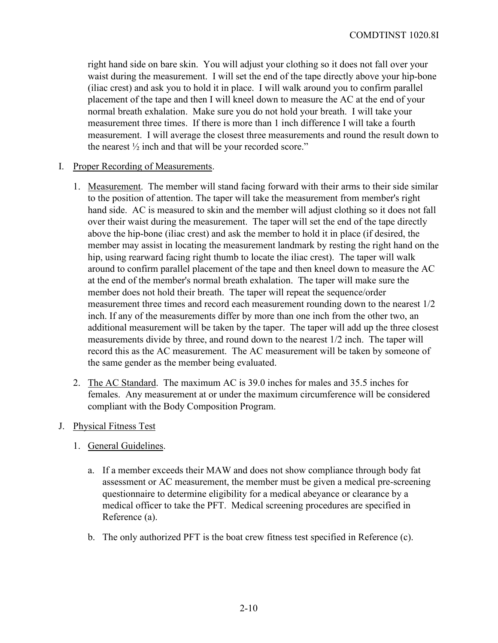<span id="page-22-0"></span> placement of the tape and then I will kneel down to measure the AC at the end of your measurement three times. If there is more than 1 inch difference I will take a fourth measurement. I will average the closest three measurements and round the result down to right hand side on bare skin. You will adjust your clothing so it does not fall over your waist during the measurement. I will set the end of the tape directly above your hip-bone (iliac crest) and ask you to hold it in place. I will walk around you to confirm parallel normal breath exhalation. Make sure you do not hold your breath. I will take your the nearest ½ inch and that will be your recorded score."

#### I. Proper Recording of Measurements.

- above the hip-bone (iliac crest) and ask the member to hold it in place (if desired, the hip, using rearward facing right thumb to locate the iliac crest). The taper will walk 1. Measurement. The member will stand facing forward with their arms to their side similar to the position of attention. The taper will take the measurement from member's right hand side. AC is measured to skin and the member will adjust clothing so it does not fall over their waist during the measurement. The taper will set the end of the tape directly member may assist in locating the measurement landmark by resting the right hand on the around to confirm parallel placement of the tape and then kneel down to measure the AC at the end of the member's normal breath exhalation. The taper will make sure the member does not hold their breath. The taper will repeat the sequence/order measurement three times and record each measurement rounding down to the nearest 1/2 inch. If any of the measurements differ by more than one inch from the other two, an additional measurement will be taken by the taper. The taper will add up the three closest measurements divide by three, and round down to the nearest 1/2 inch. The taper will record this as the AC measurement. The AC measurement will be taken by someone of the same gender as the member being evaluated.
- 2. The AC Standard. The maximum AC is 39.0 inches for males and 35.5 inches for females. Any measurement at or under the maximum circumference will be considered compliant with the Body Composition Program.
- J. Physical Fitness Test
	- 1. General Guidelines.
		- medical officer to take the PFT. Medical screening procedures are specified in a. If a member exceeds their MAW and does not show compliance through body fat assessment or AC measurement, the member must be given a medical pre-screening questionnaire to determine eligibility for a medical abeyance or clearance by a Reference (a).
		- b. The only authorized PFT is the boat crew fitness test specified in Reference (c).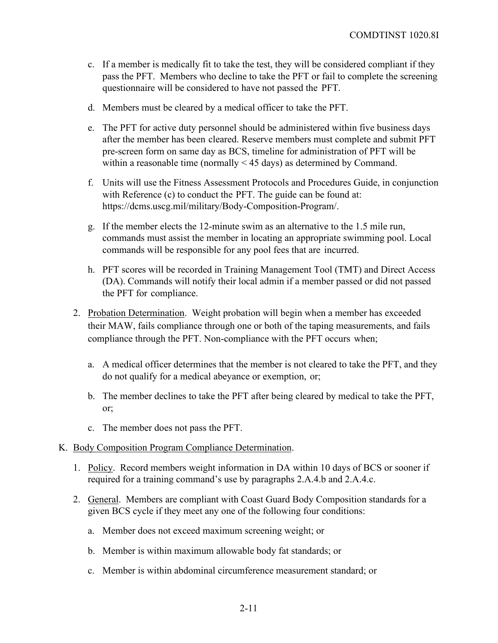- <span id="page-23-0"></span> questionnaire will be considered to have not passed the PFT. c. If a member is medically fit to take the test, they will be considered compliant if they pass the PFT. Members who decline to take the PFT or fail to complete the screening
- d. Members must be cleared by a medical officer to take the PFT.
- within a reasonable time (normally < 45 days) as determined by Command. e. The PFT for active duty personnel should be administered within five business days after the member has been cleared. Reserve members must complete and submit PFT pre-screen form on same day as BCS, timeline for administration of PFT will be
- f. Units will use the Fitness Assessment Protocols and Procedures Guide, in conjunction with Reference (c) to conduct the PFT. The guide can be found at: [https://dcms.uscg.mil/military/Body-Composition-Program/](https://dcms.uscg.mil/military/Body-Composition-Program).
- commands will be responsible for any pool fees that are incurred. g. If the member elects the 12-minute swim as an alternative to the 1.5 mile run, commands must assist the member in locating an appropriate swimming pool. Local
- the PFT for compliance. h. PFT scores will be recorded in Training Management Tool (TMT) and Direct Access (DA). Commands will notify their local admin if a member passed or did not passed
- compliance through the PFT. Non-compliance with the PFT occurs when; 2. Probation Determination. Weight probation will begin when a member has exceeded their MAW, fails compliance through one or both of the taping measurements, and fails
	- a. A medical officer determines that the member is not cleared to take the PFT, and they do not qualify for a medical abeyance or exemption, or;
	- b. The member declines to take the PFT after being cleared by medical to take the PFT, or;
	- c. The member does not pass the PFT.

#### K. Body Composition Program Compliance Determination.

- 1. Policy. Record members weight information in DA within 10 days of BCS or sooner if required for a training command's use by paragraphs 2.A.4.b and 2.A.4.c.
- 2. General. Members are compliant with Coast Guard Body Composition standards for a given BCS cycle if they meet any one of the following four conditions:
	- a. Member does not exceed maximum screening weight; or
	- b. Member is within maximum allowable body fat standards; or
	- b. Member is within maximum allowable body fat standards; or<br>c. Member is within abdominal circumference measurement standard; or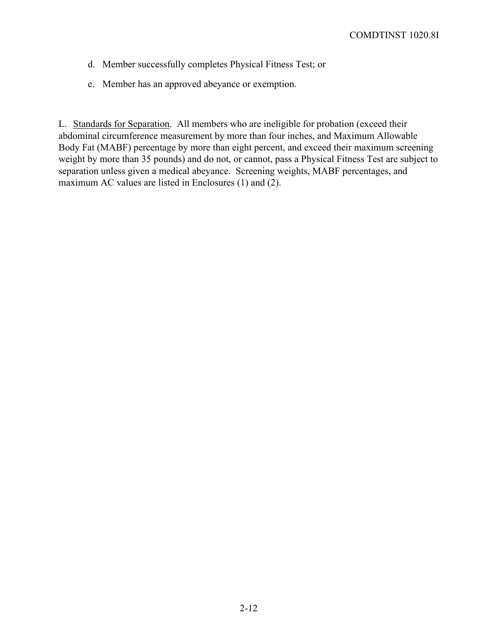- <span id="page-24-0"></span>d. Member successfully completes Physical Fitness Test; or
- e. Member has an approved abeyance or exemption.

 maximum AC values are listed in Enclosures (1) and (2). L. Standards for Separation. All members who are ineligible for probation (exceed their abdominal circumference measurement by more than four inches, and Maximum Allowable Body Fat (MABF) percentage by more than eight percent, and exceed their maximum screening weight by more than 35 pounds) and do not, or cannot, pass a Physical Fitness Test are subject to separation unless given a medical abeyance. Screening weights, MABF percentages, and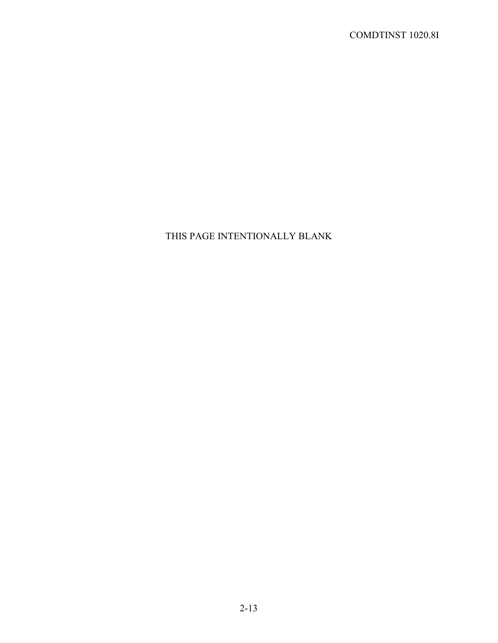# THIS PAGE INTENTIONALLY BLANK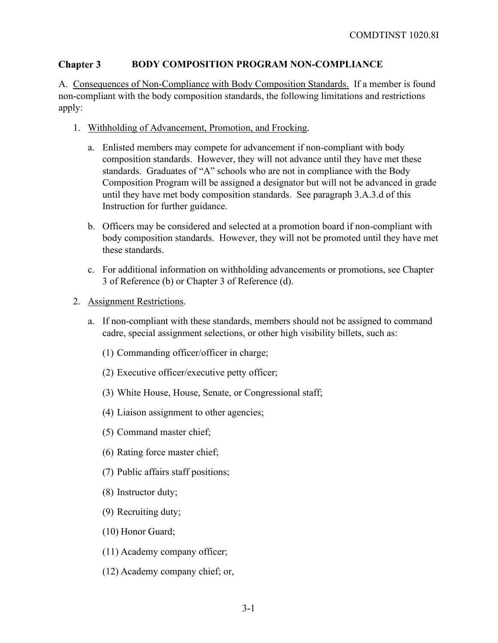#### <span id="page-26-0"></span>**Chapter 3 BODY COMPOSITION PROGRAM NON-COMPLIANCE**

A. Consequences of Non-Compliance with Body Composition Standards. If a member is found non-compliant with the body composition standards, the following limitations and restrictions apply:

- 1. Withholding of Advancement, Promotion, and Frocking.
	- a. Enlisted members may compete for advancement if non-compliant with body composition standards. However, they will not advance until they have met these standards. Graduates of "A" schools who are not in compliance with the Body Composition Program will be assigned a designator but will not be advanced in grade until they have met body composition standards. See paragraph 3.A.3.d of this Instruction for further guidance.
	- b. Officers may be considered and selected at a promotion board if non-compliant with body composition standards. However, they will not be promoted until they have met these standards.
	- c. For additional information on withholding advancements or promotions, see Chapter 3 of Reference (b) or Chapter 3 of Reference (d).
- 2. Assignment Restrictions.
	- a. If non-compliant with these standards, members should not be assigned to command cadre, special assignment selections, or other high visibility billets, such as:
		- (1) Commanding officer/officer in charge;
		- (2) Executive officer/executive petty officer;
		- (3) White House, House, Senate, or Congressional staff;
		- (4) Liaison assignment to other agencies;
		- (5) Command master chief;
		- (6) Rating force master chief;
		- (7) Public affairs staff positions;
		- (8) Instructor duty;
		- (9) Recruiting duty;
		- (10) Honor Guard;
		- (11) Academy company officer;
		- (12) Academy company chief; or,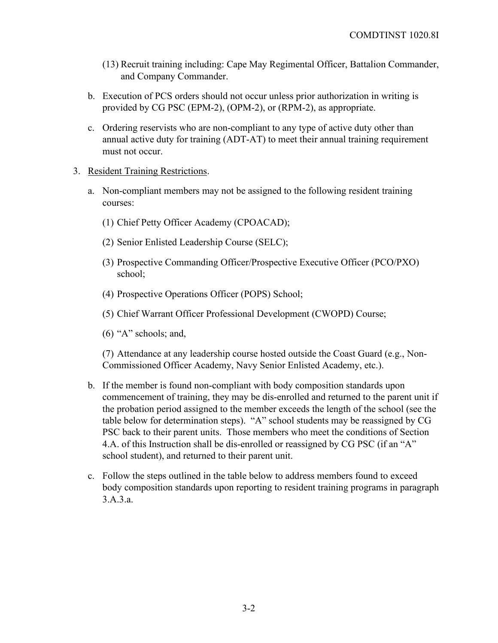- <span id="page-27-0"></span>(13) Recruit training including: Cape May Regimental Officer, Battalion Commander, and Company Commander.
- b. Execution of PCS orders should not occur unless prior authorization in writing is provided by CG PSC (EPM-2), (OPM-2), or (RPM-2), as appropriate.
- c. Ordering reservists who are non-compliant to any type of active duty other than annual active duty for training (ADT-AT) to meet their annual training requirement must not occur.
- 3. Resident Training Restrictions.
	- a. Non-compliant members may not be assigned to the following resident training courses:
		- (1) Chief Petty Officer Academy (CPOACAD);
		- (2) Senior Enlisted Leadership Course (SELC);
		- (3) Prospective Commanding Officer/Prospective Executive Officer (PCO/PXO) school;
		- (4) Prospective Operations Officer (POPS) School;
		- (5) Chief Warrant Officer Professional Development (CWOPD) Course;
		- (6) "A" schools; and,

(7) Attendance at any leadership course hosted outside the Coast Guard (e.g., Non-Commissioned Officer Academy, Navy Senior Enlisted Academy, etc.).

- b. If the member is found non-compliant with body composition standards upon commencement of training, they may be dis-enrolled and returned to the parent unit if the probation period assigned to the member exceeds the length of the school (see the table below for determination steps). "A" school students may be reassigned by CG PSC back to their parent units. Those members who meet the conditions of Section 4.A. of this Instruction shall be dis-enrolled or reassigned by CG PSC (if an "A" school student), and returned to their parent unit.
- c. Follow the steps outlined in the table below to address members found to exceed body composition standards upon reporting to resident training programs in paragraph 3.A.3.a.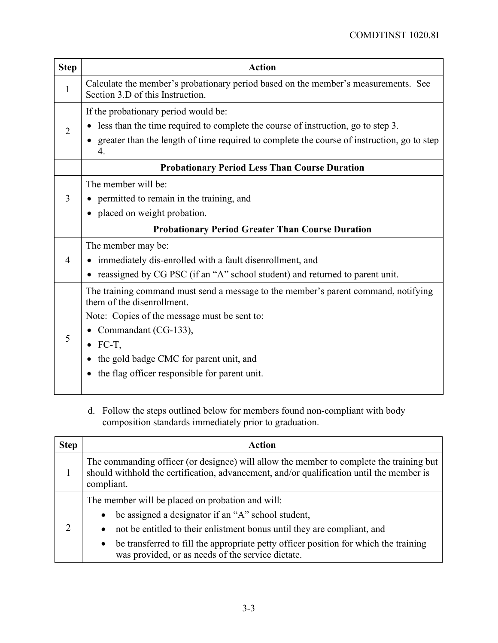| <b>Step</b>              | <b>Action</b>                                                                                                                                                                                                                                                                                           |
|--------------------------|---------------------------------------------------------------------------------------------------------------------------------------------------------------------------------------------------------------------------------------------------------------------------------------------------------|
| 1                        | Calculate the member's probationary period based on the member's measurements. See<br>Section 3.D of this Instruction.                                                                                                                                                                                  |
| 2                        | If the probationary period would be:<br>less than the time required to complete the course of instruction, go to step 3.<br>greater than the length of time required to complete the course of instruction, go to step<br>4.                                                                            |
|                          | <b>Probationary Period Less Than Course Duration</b>                                                                                                                                                                                                                                                    |
| 3                        | The member will be:<br>permitted to remain in the training, and<br>placed on weight probation.                                                                                                                                                                                                          |
|                          | <b>Probationary Period Greater Than Course Duration</b>                                                                                                                                                                                                                                                 |
| $\overline{A}$           | The member may be:<br>• immediately dis-enrolled with a fault disenrollment, and<br>reassigned by CG PSC (if an "A" school student) and returned to parent unit.                                                                                                                                        |
| $\overline{\mathcal{L}}$ | The training command must send a message to the member's parent command, notifying<br>them of the disenrollment.<br>Note: Copies of the message must be sent to:<br>Commandant (CG-133),<br>$\bullet$ FC-T,<br>the gold badge CMC for parent unit, and<br>the flag officer responsible for parent unit. |

d. Follow the steps outlined below for members found non-compliant with body composition standards immediately prior to graduation.

| <b>Step</b>                 | Action                                                                                                                                                                                                                                                                                                                                                                |  |
|-----------------------------|-----------------------------------------------------------------------------------------------------------------------------------------------------------------------------------------------------------------------------------------------------------------------------------------------------------------------------------------------------------------------|--|
|                             | The commanding officer (or designee) will allow the member to complete the training but<br>should withhold the certification, advancement, and/or qualification until the member is<br>compliant.                                                                                                                                                                     |  |
| $\mathcal{D}_{\mathcal{L}}$ | The member will be placed on probation and will:<br>be assigned a designator if an "A" school student,<br>$\bullet$<br>not be entitled to their enlistment bonus until they are compliant, and<br>$\bullet$<br>be transferred to fill the appropriate petty officer position for which the training<br>$\bullet$<br>was provided, or as needs of the service dictate. |  |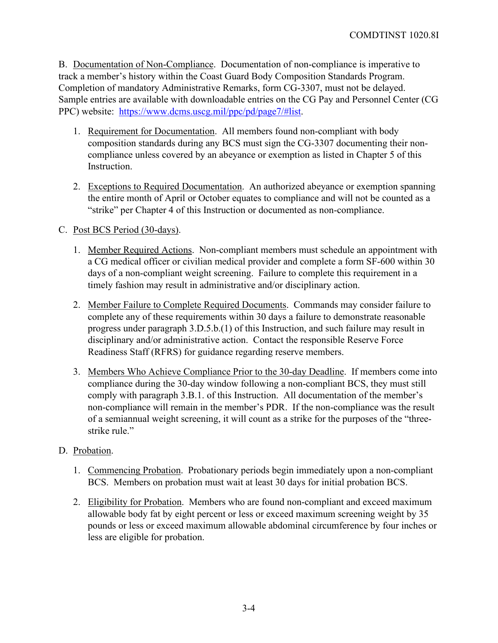<span id="page-29-0"></span>B. Documentation of Non-Compliance. Documentation of non-compliance is imperative to track a member's history within the Coast Guard Body Composition Standards Program. Completion of mandatory Administrative Remarks, form CG-3307, must not be delayed. Sample entries are available with downloadable entries on the CG Pay and Personnel Center (CG PPC) website: [https://www.dcms.uscg.mil/ppc/pd/page7/#list.](https://www.dcms.uscg.mil/ppc/pd/page7/#list)

- 1. Requirement for Documentation. All members found non-compliant with body composition standards during any BCS must sign the CG-3307 documenting their noncompliance unless covered by an abeyance or exemption as listed in Chapter 5 of this Instruction.
- the entire month of April or October equates to compliance and will not be counted as a 2. Exceptions to Required Documentation. An authorized abeyance or exemption spanning "strike" per Chapter 4 of this Instruction or documented as non-compliance.

## C. Post BCS Period (30-days).

- 1. Member Required Actions. Non-compliant members must schedule an appointment with a CG medical officer or civilian medical provider and complete a form SF-600 within 30 days of a non-compliant weight screening. Failure to complete this requirement in a timely fashion may result in administrative and/or disciplinary action.
- 2. Member Failure to Complete Required Documents. Commands may consider failure to complete any of these requirements within 30 days a failure to demonstrate reasonable progress under paragraph 3.D.5.b.(1) of this Instruction, and such failure may result in disciplinary and/or administrative action. Contact the responsible Reserve Force Readiness Staff (RFRS) for guidance regarding reserve members.
- 3. Members Who Achieve Compliance Prior to the 30-day Deadline. If members come into compliance during the 30-day window following a non-compliant BCS, they must still comply with paragraph 3.B.1. of this Instruction. All documentation of the member's non-compliance will remain in the member's PDR. If the non-compliance was the result of a semiannual weight screening, it will count as a strike for the purposes of the "threestrike rule."

## D. Probation.

- BCS. Members on probation must wait at least 30 days for initial probation BCS. 1. Commencing Probation. Probationary periods begin immediately upon a non-compliant
- 2. Eligibility for Probation. Members who are found non-compliant and exceed maximum allowable body fat by eight percent or less or exceed maximum screening weight by 35 pounds or less or exceed maximum allowable abdominal circumference by four inches or less are eligible for probation.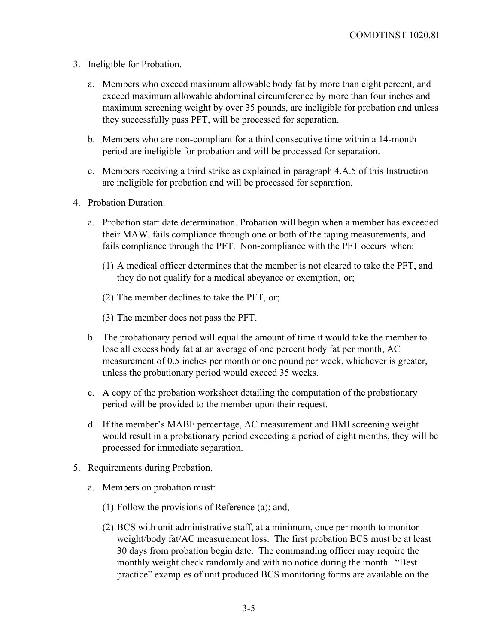### <span id="page-30-0"></span>3. Ineligible for Probation.

- a. Members who exceed maximum allowable body fat by more than eight percent, and exceed maximum allowable abdominal circumference by more than four inches and maximum screening weight by over 35 pounds, are ineligible for probation and unless they successfully pass PFT, will be processed for separation.
- b. Members who are non-compliant for a third consecutive time within a 14-month period are ineligible for probation and will be processed for separation.
- c. Members receiving a third strike as explained in paragraph 4.A.5 of this Instruction are ineligible for probation and will be processed for separation.
- 4. Probation Duration.
	- fails compliance through the PFT. Non-compliance with the PFT occurs when: a. Probation start date determination. Probation will begin when a member has exceeded their MAW, fails compliance through one or both of the taping measurements, and
		- (1) A medical officer determines that the member is not cleared to take the PFT, and they do not qualify for a medical abeyance or exemption, or;
		- (2) The member declines to take the PFT, or;
		- (3) The member does not pass the PFT.
	- b. The probationary period will equal the amount of time it would take the member to lose all excess body fat at an average of one percent body fat per month, AC measurement of 0.5 inches per month or one pound per week, whichever is greater, unless the probationary period would exceed 35 weeks.
	- period will be provided to the member upon their request. c. A copy of the probation worksheet detailing the computation of the probationary
	- d. If the member's MABF percentage, AC measurement and BMI screening weight would result in a probationary period exceeding a period of eight months, they will be processed for immediate separation.

#### 5. Requirements during Probation.

- a. Members on probation must:
	- (1) Follow the provisions of Reference (a); and,
	- (2) BCS with unit administrative staff, at a minimum, once per month to monitor weight/body fat/AC measurement loss. The first probation BCS must be at least 30 days from probation begin date. The commanding officer may require the monthly weight check randomly and with no notice during the month. "Best practice" examples of unit produced BCS monitoring forms are available on the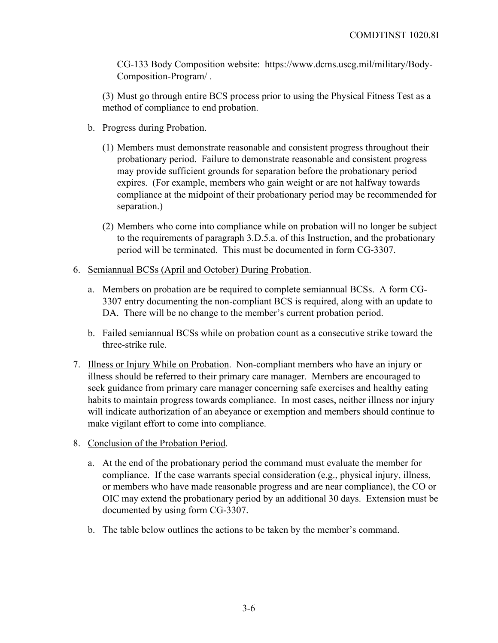<span id="page-31-0"></span>CG-133 Body Composition website: [https://www.dcms.uscg.mil/military/Body-](http://www.uscg.mil/hq/cg1/cg122/PolicyStandards/default.asp)[Composition-Program/ .](http://www.uscg.mil/hq/cg1/cg122/PolicyStandards/default.asp)

(3) Must go through entire BCS process prior to using the Physical Fitness Test as a method of compliance to end probation.

- b. Progress during Probation.
	- (1) Members must demonstrate reasonable and consistent progress throughout their probationary period. Failure to demonstrate reasonable and consistent progress may provide sufficient grounds for separation before the probationary period expires. (For example, members who gain weight or are not halfway towards compliance at the midpoint of their probationary period may be recommended for separation.)
	- (2) Members who come into compliance while on probation will no longer be subject to the requirements of paragraph 3.D.5.a. of this Instruction, and the probationary period will be terminated. This must be documented in form CG-3307.
- 6. Semiannual BCSs (April and October) During Probation.
	- a. Members on probation are be required to complete semiannual BCSs. A form CG-3307 entry documenting the non-compliant BCS is required, along with an update to DA. There will be no change to the member's current probation period.
	- b. Failed semiannual BCSs while on probation count as a consecutive strike toward the three-strike rule.
- 7. Illness or Injury While on Probation. Non-compliant members who have an injury or illness should be referred to their primary care manager. Members are encouraged to seek guidance from primary care manager concerning safe exercises and healthy eating habits to maintain progress towards compliance. In most cases, neither illness nor injury will indicate authorization of an abeyance or exemption and members should continue to make vigilant effort to come into compliance.
- 8. Conclusion of the Probation Period.
	- a. At the end of the probationary period the command must evaluate the member for compliance. If the case warrants special consideration (e.g., physical injury, illness, or members who have made reasonable progress and are near compliance), the CO or OIC may extend the probationary period by an additional 30 days. Extension must be documented by using form CG-3307.
	- b. The table below outlines the actions to be taken by the member's command.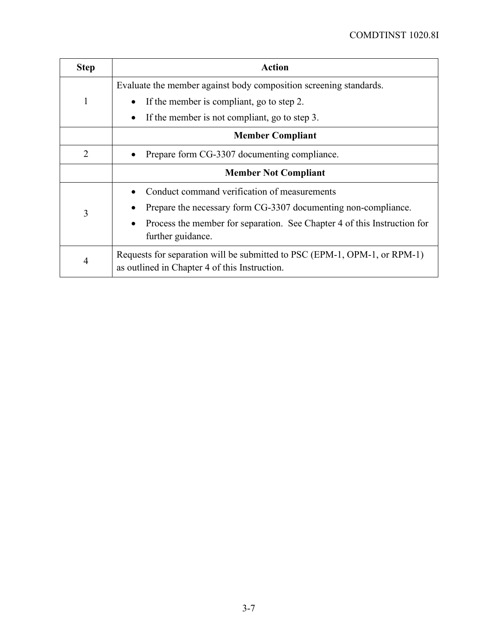| <b>Step</b>    | <b>Action</b>                                                                                                              |
|----------------|----------------------------------------------------------------------------------------------------------------------------|
|                | Evaluate the member against body composition screening standards.                                                          |
| 1              | If the member is compliant, go to step 2.<br>$\bullet$                                                                     |
|                | If the member is not compliant, go to step 3.<br>$\bullet$                                                                 |
|                | <b>Member Compliant</b>                                                                                                    |
| $\overline{2}$ | Prepare form CG-3307 documenting compliance.<br>$\bullet$                                                                  |
|                | <b>Member Not Compliant</b>                                                                                                |
|                | Conduct command verification of measurements                                                                               |
| 3              | Prepare the necessary form CG-3307 documenting non-compliance.                                                             |
|                | Process the member for separation. See Chapter 4 of this Instruction for<br>$\bullet$<br>further guidance.                 |
| $\overline{4}$ | Requests for separation will be submitted to PSC (EPM-1, OPM-1, or RPM-1)<br>as outlined in Chapter 4 of this Instruction. |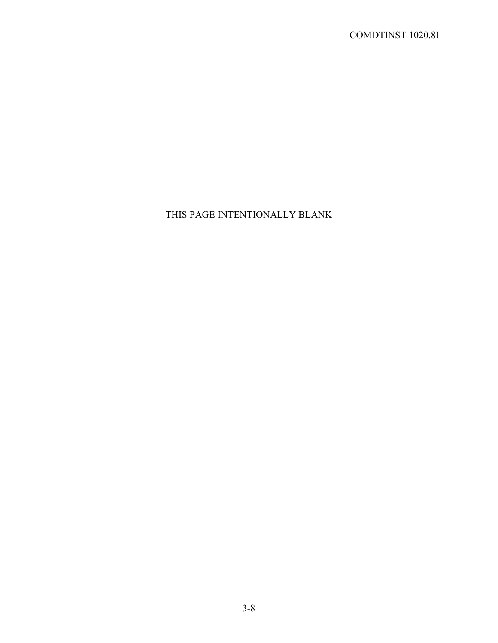## THIS PAGE INTENTIONALLY BLANK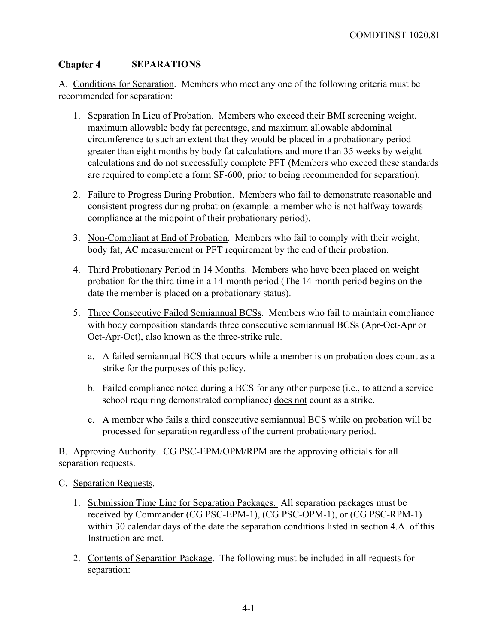#### <span id="page-34-0"></span>**Chapter 4 SEPARATIONS**

A. Conditions for Separation. Members who meet any one of the following criteria must be recommended for separation:

- greater than eight months by body fat calculations and more than 35 weeks by weight calculations and do not successfully complete PFT (Members who exceed these standards 1. Separation In Lieu of Probation. Members who exceed their BMI screening weight, maximum allowable body fat percentage, and maximum allowable abdominal circumference to such an extent that they would be placed in a probationary period are required to complete a form SF-600, prior to being recommended for separation).
- 2. Failure to Progress During Probation. Members who fail to demonstrate reasonable and consistent progress during probation (example: a member who is not halfway towards compliance at the midpoint of their probationary period).
- 3. Non-Compliant at End of Probation. Members who fail to comply with their weight, body fat, AC measurement or PFT requirement by the end of their probation.
- 4. Third Probationary Period in 14 Months. Members who have been placed on weight probation for the third time in a 14-month period (The 14-month period begins on the date the member is placed on a probationary status).
- 5. Three Consecutive Failed Semiannual BCSs. Members who fail to maintain compliance with body composition standards three consecutive semiannual BCSs (Apr-Oct-Apr or Oct-Apr-Oct), also known as the three-strike rule.
	- a. A failed semiannual BCS that occurs while a member is on probation does count as a strike for the purposes of this policy.
	- b. Failed compliance noted during a BCS for any other purpose (i.e., to attend a service school requiring demonstrated compliance) does not count as a strike.
	- c. A member who fails a third consecutive semiannual BCS while on probation will be processed for separation regardless of the current probationary period.

B. Approving Authority. CG PSC-EPM/OPM/RPM are the approving officials for all separation requests.

#### C. Separation Requests.

- 1. Submission Time Line for Separation Packages. All separation packages must be Instruction are met. received by Commander (CG PSC-EPM-1), (CG PSC-OPM-1), or (CG PSC-RPM-1) within 30 calendar days of the date the separation conditions listed in section 4.A. of this
- 2. Contents of Separation Package. The following must be included in all requests for separation: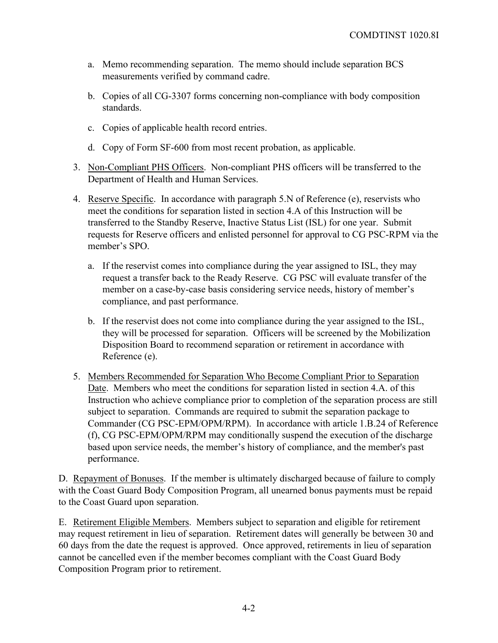- <span id="page-35-0"></span>a. Memo recommending separation. The memo should include separation BCS measurements verified by command cadre.
- b. Copies of all CG-3307 forms concerning non-compliance with body composition standards.
- c. Copies of applicable health record entries.
- d. Copy of Form SF-600 from most recent probation, as applicable.
- 3. Non-Compliant PHS Officers. Non-compliant PHS officers will be transferred to the Department of Health and Human Services.
- meet the conditions for separation listed in section 4.A of this Instruction will be transferred to the Standby Reserve, Inactive Status List (ISL) for one year. Submit 4. Reserve Specific. In accordance with paragraph 5.N of Reference (e), reservists who requests for Reserve officers and enlisted personnel for approval to CG PSC-RPM via the member's SPO.
	- a. If the reservist comes into compliance during the year assigned to ISL, they may request a transfer back to the Ready Reserve. CG PSC will evaluate transfer of the member on a case-by-case basis considering service needs, history of member's compliance, and past performance.
	- b. If the reservist does not come into compliance during the year assigned to the ISL, they will be processed for separation. Officers will be screened by the Mobilization Disposition Board to recommend separation or retirement in accordance with Reference (e).
- 5. Members Recommended for Separation Who Become Compliant Prior to Separation Date. Members who meet the conditions for separation listed in section 4.A. of this Instruction who achieve compliance prior to completion of the separation process are still subject to separation. Commands are required to submit the separation package to Commander (CG PSC-EPM/OPM/RPM). In accordance with article 1.B.24 of Reference (f), CG PSC-EPM/OPM/RPM may conditionally suspend the execution of the discharge based upon service needs, the member's history of compliance, and the member's past performance.

D. Repayment of Bonuses. If the member is ultimately discharged because of failure to comply with the Coast Guard Body Composition Program, all unearned bonus payments must be repaid to the Coast Guard upon separation.

 may request retirement in lieu of separation. Retirement dates will generally be between 30 and E. Retirement Eligible Members. Members subject to separation and eligible for retirement 60 days from the date the request is approved. Once approved, retirements in lieu of separation cannot be cancelled even if the member becomes compliant with the Coast Guard Body Composition Program prior to retirement.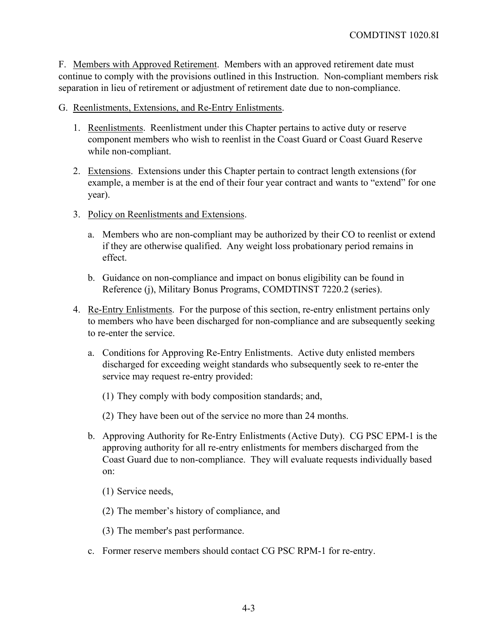<span id="page-36-0"></span>F. Members with Approved Retirement. Members with an approved retirement date must continue to comply with the provisions outlined in this Instruction. Non-compliant members risk separation in lieu of retirement or adjustment of retirement date due to non-compliance.

- G. Reenlistments, Extensions, and Re-Entry Enlistments.
	- 1. Reenlistments. Reenlistment under this Chapter pertains to active duty or reserve component members who wish to reenlist in the Coast Guard or Coast Guard Reserve while non-compliant.
	- example, a member is at the end of their four year contract and wants to "extend" for one 2. Extensions. Extensions under this Chapter pertain to contract length extensions (for year).
	- 3. Policy on Reenlistments and Extensions.
		- a. Members who are non-compliant may be authorized by their CO to reenlist or extend if they are otherwise qualified. Any weight loss probationary period remains in effect.
		- b. Guidance on non-compliance and impact on bonus eligibility can be found in Reference (j), Military Bonus Programs, COMDTINST 7220.2 (series).
	- 4. Re-Entry Enlistments. For the purpose of this section, re-entry enlistment pertains only to members who have been discharged for non-compliance and are subsequently seeking to re-enter the service.
		- a. Conditions for Approving Re-Entry Enlistments. Active duty enlisted members discharged for exceeding weight standards who subsequently seek to re-enter the service may request re-entry provided:
			- (1) They comply with body composition standards; and,
			- (2) They have been out of the service no more than 24 months.
		- b. Approving Authority for Re-Entry Enlistments (Active Duty). CG PSC EPM-1 is the approving authority for all re-entry enlistments for members discharged from the Coast Guard due to non-compliance. They will evaluate requests individually based on:
			- (1) Service needs,
			- (2) The member's history of compliance, and
			- (3) The member's past performance.
		- c. Former reserve members should contact CG PSC RPM-1 for re-entry.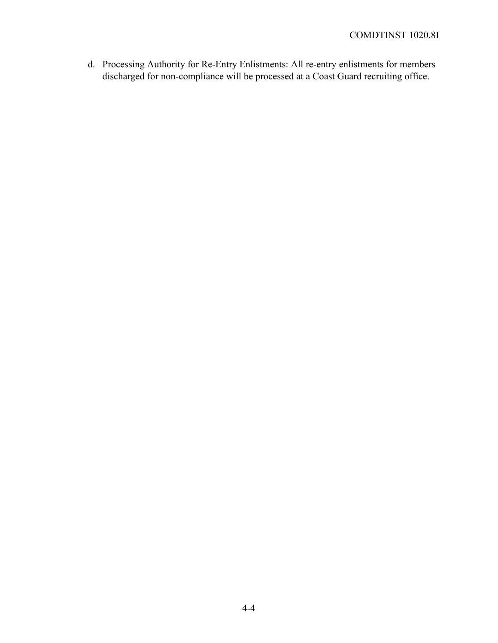discharged for non-compliance will be processed at a Coast Guard recruiting office. d. Processing Authority for Re-Entry Enlistments: All re-entry enlistments for members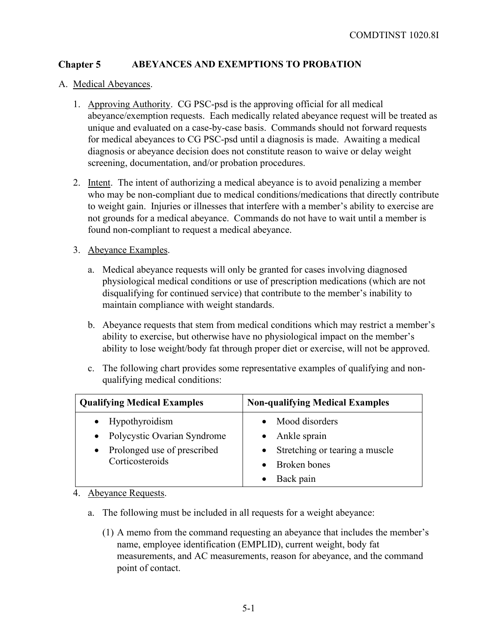#### **Chapter 5 ABEYANCES AND EXEMPTIONS TO PROBATION**

- A. Medical Abeyances.
	- unique and evaluated on a case-by-case basis. Commands should not forward requests 1. Approving Authority. CG PSC-psd is the approving official for all medical abeyance/exemption requests. Each medically related abeyance request will be treated as for medical abeyances to CG PSC-psd until a diagnosis is made. Awaiting a medical diagnosis or abeyance decision does not constitute reason to waive or delay weight screening, documentation, and/or probation procedures.
	- 2. Intent. The intent of authorizing a medical abeyance is to avoid penalizing a member who may be non-compliant due to medical conditions/medications that directly contribute to weight gain. Injuries or illnesses that interfere with a member's ability to exercise are not grounds for a medical abeyance. Commands do not have to wait until a member is found non-compliant to request a medical abeyance.
	- 3. Abeyance Examples.
		- a. Medical abeyance requests will only be granted for cases involving diagnosed physiological medical conditions or use of prescription medications (which are not disqualifying for continued service) that contribute to the member's inability to maintain compliance with weight standards.
		- b. Abeyance requests that stem from medical conditions which may restrict a member's ability to lose weight/body fat through proper diet or exercise, will not be approved. ability to exercise, but otherwise have no physiological impact on the member's
		- c. The following chart provides some representative examples of qualifying and nonqualifying medical conditions:

| <b>Qualifying Medical Examples</b>                                                                    | <b>Non-qualifying Medical Examples</b>                                                          |  |  |  |  |  |  |  |  |  |  |
|-------------------------------------------------------------------------------------------------------|-------------------------------------------------------------------------------------------------|--|--|--|--|--|--|--|--|--|--|
| • Hypothyroidism<br>• Polycystic Ovarian Syndrome<br>• Prolonged use of prescribed<br>Corticosteroids | • Mood disorders<br>Ankle sprain<br>Stretching or tearing a muscle<br>Broken bones<br>Back pain |  |  |  |  |  |  |  |  |  |  |

4. Abeyance Requests.

- a. The following must be included in all requests for a weight abeyance:
	- (1) A memo from the command requesting an abeyance that includes the member's name, employee identification (EMPLID), current weight, body fat measurements, and AC measurements, reason for abeyance, and the command point of contact.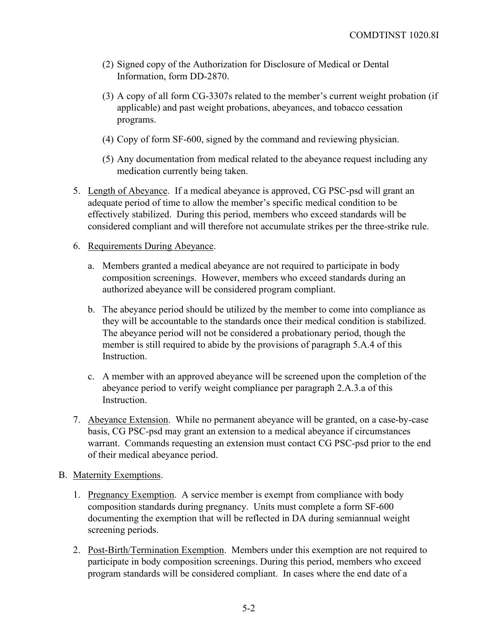- <span id="page-39-0"></span> (2) Signed copy of the Authorization for Disclosure of Medical or Dental Information, form DD-2870.
- (3) A copy of all form CG-3307s related to the member's current weight probation (if applicable) and past weight probations, abeyances, and tobacco cessation programs.
- (4) Copy of form SF-600, signed by the command and reviewing physician.
- (5) Any documentation from medical related to the abeyance request including any medication currently being taken.
- 5. Length of Abeyance. If a medical abeyance is approved, CG PSC-psd will grant an adequate period of time to allow the member's specific medical condition to be effectively stabilized. During this period, members who exceed standards will be considered compliant and will therefore not accumulate strikes per the three-strike rule.

#### 6. Requirements During Abeyance.

- a. Members granted a medical abeyance are not required to participate in body composition screenings. However, members who exceed standards during an authorized abeyance will be considered program compliant.
- b. The abeyance period should be utilized by the member to come into compliance as they will be accountable to the standards once their medical condition is stabilized. The abeyance period will not be considered a probationary period, though the member is still required to abide by the provisions of paragraph 5.A.4 of this Instruction.
- c. A member with an approved abeyance will be screened upon the completion of the abeyance period to verify weight compliance per paragraph 2.A.3.a of this Instruction.
- 7. Abeyance Extension. While no permanent abeyance will be granted, on a case-by-case basis, CG PSC-psd may grant an extension to a medical abeyance if circumstances warrant. Commands requesting an extension must contact CG PSC-psd prior to the end of their medical abeyance period.

#### B. Maternity Exemptions.

- documenting the exemption that will be reflected in DA during semiannual weight 1. Pregnancy Exemption. A service member is exempt from compliance with body composition standards during pregnancy. Units must complete a form SF-600 screening periods.
- 2. Post-Birth/Termination Exemption. Members under this exemption are not required to participate in body composition screenings. During this period, members who exceed program standards will be considered compliant. In cases where the end date of a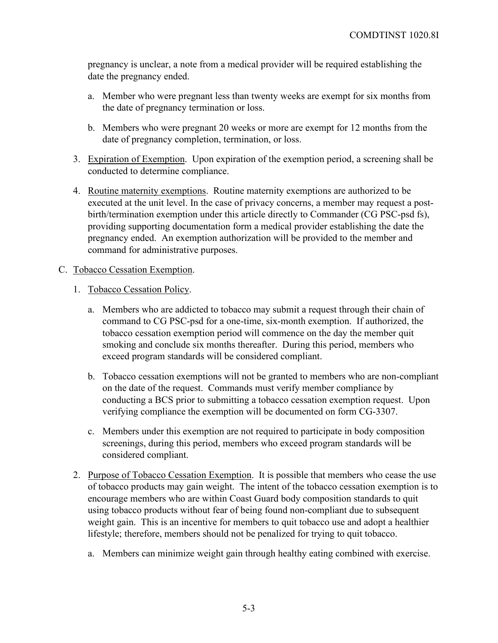<span id="page-40-0"></span>pregnancy is unclear, a note from a medical provider will be required establishing the date the pregnancy ended.

- a. Member who were pregnant less than twenty weeks are exempt for six months from the date of pregnancy termination or loss.
- b. Members who were pregnant 20 weeks or more are exempt for 12 months from the date of pregnancy completion, termination, or loss.
- 3. Expiration of Exemption. Upon expiration of the exemption period, a screening shall be conducted to determine compliance.
- 4. Routine maternity exemptions. Routine maternity exemptions are authorized to be executed at the unit level. In the case of privacy concerns, a member may request a postbirth/termination exemption under this article directly to Commander (CG PSC-psd fs), providing supporting documentation form a medical provider establishing the date the pregnancy ended. An exemption authorization will be provided to the member and command for administrative purposes.

#### C. Tobacco Cessation Exemption.

- 1. Tobacco Cessation Policy.
	- a. Members who are addicted to tobacco may submit a request through their chain of tobacco cessation exemption period will commence on the day the member quit command to CG PSC-psd for a one-time, six-month exemption. If authorized, the smoking and conclude six months thereafter. During this period, members who exceed program standards will be considered compliant.
	- b. Tobacco cessation exemptions will not be granted to members who are non-compliant on the date of the request. Commands must verify member compliance by conducting a BCS prior to submitting a tobacco cessation exemption request. Upon verifying compliance the exemption will be documented on form CG-3307.
	- c. Members under this exemption are not required to participate in body composition screenings, during this period, members who exceed program standards will be considered compliant.
- 2. Purpose of Tobacco Cessation Exemption. It is possible that members who cease the use of tobacco products may gain weight. The intent of the tobacco cessation exemption is to encourage members who are within Coast Guard body composition standards to quit using tobacco products without fear of being found non-compliant due to subsequent weight gain. This is an incentive for members to quit tobacco use and adopt a healthier lifestyle; therefore, members should not be penalized for trying to quit tobacco.
	- a. Members can minimize weight gain through healthy eating combined with exercise.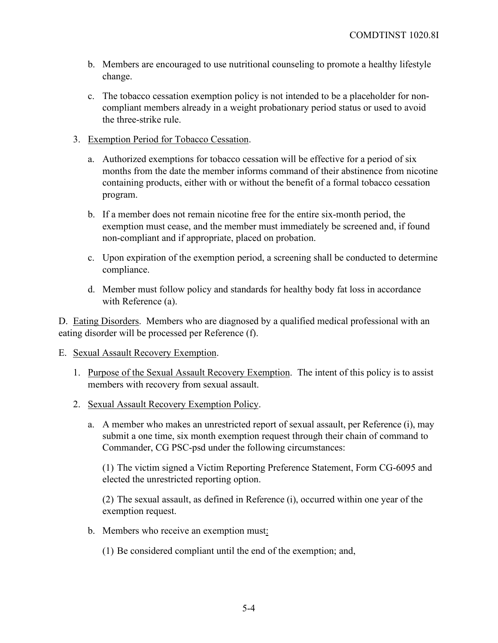- <span id="page-41-0"></span>b. Members are encouraged to use nutritional counseling to promote a healthy lifestyle change.
- c. The tobacco cessation exemption policy is not intended to be a placeholder for noncompliant members already in a weight probationary period status or used to avoid the three-strike rule.

#### 3. Exemption Period for Tobacco Cessation.

- a. Authorized exemptions for tobacco cessation will be effective for a period of six months from the date the member informs command of their abstinence from nicotine containing products, either with or without the benefit of a formal tobacco cessation program.
- b. If a member does not remain nicotine free for the entire six-month period, the exemption must cease, and the member must immediately be screened and, if found non-compliant and if appropriate, placed on probation.
- c. Upon expiration of the exemption period, a screening shall be conducted to determine compliance.
- d. Member must follow policy and standards for healthy body fat loss in accordance with Reference (a).

D. Eating Disorders. Members who are diagnosed by a qualified medical professional with an eating disorder will be processed per Reference (f).

- E. Sexual Assault Recovery Exemption.
	- 1. Purpose of the Sexual Assault Recovery Exemption. The intent of this policy is to assist members with recovery from sexual assault.
	- 2. Sexual Assault Recovery Exemption Policy.
		- a. A member who makes an unrestricted report of sexual assault, per Reference (i), may submit a one time, six month exemption request through their chain of command to Commander, CG PSC-psd under the following circumstances:

(1) The victim signed a Victim Reporting Preference Statement, Form CG-6095 and elected the unrestricted reporting option.

(2) The sexual assault, as defined in Reference (i), occurred within one year of the exemption request.

- b. Members who receive an exemption must:
	- (1) Be considered compliant until the end of the exemption; and,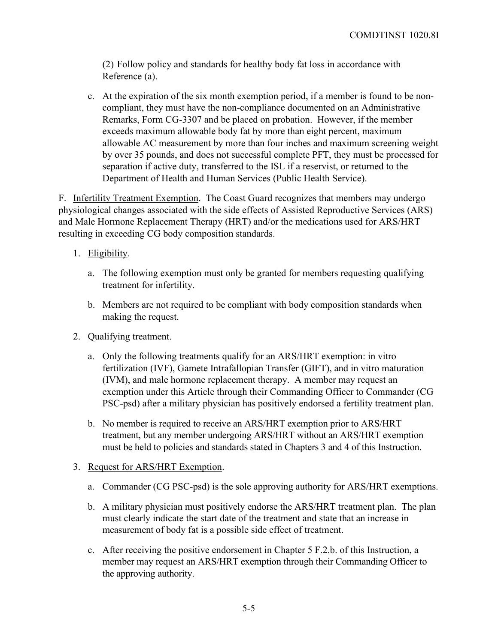<span id="page-42-0"></span>(2) Follow policy and standards for healthy body fat loss in accordance with Reference (a).

 separation if active duty, transferred to the ISL if a reservist, or returned to the c. At the expiration of the six month exemption period, if a member is found to be noncompliant, they must have the non-compliance documented on an Administrative Remarks, Form CG-3307 and be placed on probation. However, if the member exceeds maximum allowable body fat by more than eight percent, maximum allowable AC measurement by more than four inches and maximum screening weight by over 35 pounds, and does not successful complete PFT, they must be processed for Department of Health and Human Services (Public Health Service).

 and Male Hormone Replacement Therapy (HRT) and/or the medications used for ARS/HRT F. Infertility Treatment Exemption. The Coast Guard recognizes that members may undergo physiological changes associated with the side effects of Assisted Reproductive Services (ARS) resulting in exceeding CG body composition standards.

- 1. Eligibility.
	- a. The following exemption must only be granted for members requesting qualifying treatment for infertility.
	- b. Members are not required to be compliant with body composition standards when making the request.
- 2. Qualifying treatment.
	- a. Only the following treatments qualify for an ARS/HRT exemption: in vitro fertilization (IVF), Gamete Intrafallopian Transfer (GIFT), and in vitro maturation (IVM), and male hormone replacement therapy. A member may request an exemption under this Article through their Commanding Officer to Commander (CG PSC-psd) after a military physician has positively endorsed a fertility treatment plan.
	- b. No member is required to receive an ARS/HRT exemption prior to ARS/HRT treatment, but any member undergoing ARS/HRT without an ARS/HRT exemption must be held to policies and standards stated in Chapters 3 and 4 of this Instruction.

## 3. Request for ARS/HRT Exemption.

- a. Commander (CG PSC-psd) is the sole approving authority for ARS/HRT exemptions.
- b. A military physician must positively endorse the ARS/HRT treatment plan. The plan must clearly indicate the start date of the treatment and state that an increase in measurement of body fat is a possible side effect of treatment.
- member may request an ARS/HRT exemption through their Commanding Officer to c. After receiving the positive endorsement in Chapter 5 F.2.b. of this Instruction, a the approving authority.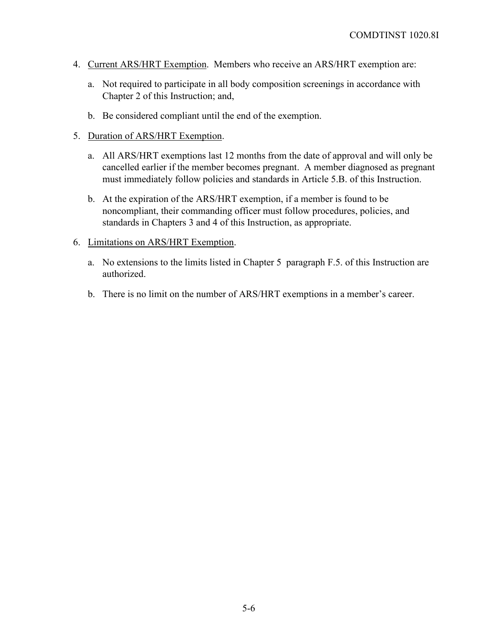- <span id="page-43-0"></span>4. Current ARS/HRT Exemption. Members who receive an ARS/HRT exemption are:
	- Chapter 2 of this Instruction; and, a. Not required to participate in all body composition screenings in accordance with
	- b. Be considered compliant until the end of the exemption.
- 5. Duration of ARS/HRT Exemption.
	- a. All ARS/HRT exemptions last 12 months from the date of approval and will only be cancelled earlier if the member becomes pregnant. A member diagnosed as pregnant must immediately follow policies and standards in Article 5.B. of this Instruction.
	- b. At the expiration of the ARS/HRT exemption, if a member is found to be noncompliant, their commanding officer must follow procedures, policies, and standards in Chapters 3 and 4 of this Instruction, as appropriate.
- 6. Limitations on ARS/HRT Exemption.
	- a. No extensions to the limits listed in Chapter 5 paragraph F.5. of this Instruction are authorized.
	- b. There is no limit on the number of ARS/HRT exemptions in a member's career.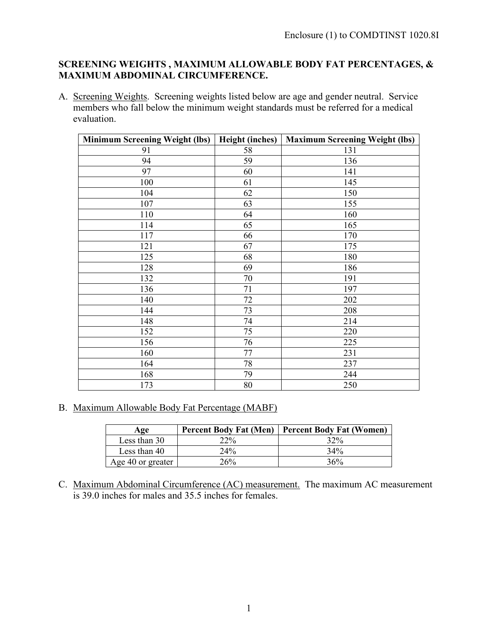## **SCREENING WEIGHTS , MAXIMUM ALLOWABLE BODY FAT PERCENTAGES, & MAXIMUM ABDOMINAL CIRCUMFERENCE.**

A. Screening Weights. Screening weights listed below are age and gender neutral. Service members who fall below the minimum weight standards must be referred for a medical evaluation.

| Minimum Screening Weight (lbs) | Height (inches) | <b>Maximum Screening Weight (lbs)</b> |
|--------------------------------|-----------------|---------------------------------------|
| 91                             | 58              | 131                                   |
| 94                             | 59              | 136                                   |
| 97                             | 60              | 141                                   |
| 100                            | 61              | 145                                   |
| 104                            | 62              | 150                                   |
| 107                            | 63              | 155                                   |
| 110                            | 64              | 160                                   |
| 114                            | 65              | 165                                   |
| 117                            | 66              | 170                                   |
| 121                            | 67              | 175                                   |
| 125                            | 68              | 180                                   |
| 128                            | 69              | 186                                   |
| 132                            | 70              | 191                                   |
| 136                            | 71              | 197                                   |
| 140                            | 72              | 202                                   |
| 144                            | 73              | 208                                   |
| 148                            | 74              | 214                                   |
| 152                            | 75              | 220                                   |
| 156                            | 76              | 225                                   |
| 160                            | 77              | 231                                   |
| 164                            | 78              | 237                                   |
| 168                            | 79              | 244                                   |
| 173                            | 80              | 250                                   |

B. Maximum Allowable Body Fat Percentage (MABF)

| Age               | <b>Percent Body Fat (Men)</b> | <b>Percent Body Fat (Women)</b> |
|-------------------|-------------------------------|---------------------------------|
| Less than 30      | 22%                           | $32\%$                          |
| Less than 40      | 24%                           | 34%                             |
| Age 40 or greater | 26%                           | 36%                             |

C. Maximum Abdominal Circumference (AC) measurement. The maximum AC measurement is 39.0 inches for males and 35.5 inches for females.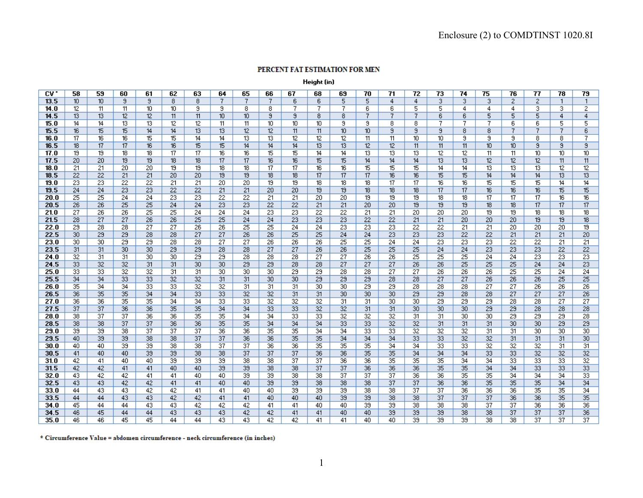#### PERCENT FAT ESTIMATION FOR MEN

Height (in)

| CV.  | 58               | 59               | 60  | 61               | 62               | 63               | 64             | 65               | 66              | 67 | 68        | 69 | 70               | 71             | 72             | 73  | 74 | 75           | 76               | 77               | 78               | 79              |
|------|------------------|------------------|-----|------------------|------------------|------------------|----------------|------------------|-----------------|----|-----------|----|------------------|----------------|----------------|-----|----|--------------|------------------|------------------|------------------|-----------------|
| 13.5 | 10 <sub>10</sub> | 10 <sub>10</sub> | Э   | 9                | 8                | 8                | $\overline{7}$ | 7                | $\overline{7}$  | 6  | 6         | 5. | 5                | $\overline{4}$ | $\overline{4}$ | 3   | 3  | 3            | $\overline{2}$   | $\overline{2}$   | $\mathbf{1}$     | $\mathbf{1}$    |
| 14.0 | 12               | 11               | 11  | 10 <sub>10</sub> | 10 <sub>10</sub> | э                | Э              | 8                | 8               | 7  | 7         | 7  | 6                | 6              | 5.             | 5   | 4  | 4            | 4                | 3                | 3                | 2               |
| 14.5 | 13.              | 13               | 12  | 12               | 11               | 11               | 10             | 10 <sub>10</sub> | 9               | 9  | 8         | 8  | 7                | 7              | 7              | 6.  | 6  | 5.           | 5                | 5                | 4                | 4               |
| 15.0 | 14               | 14               | 13  | 13               | 12               | 12               | 11             | 11               | 10              | 10 | $10^{-1}$ | 9  | э                | 8              | 8              | 7   | 7  | 7            | 6                | 6                | 5                | 5               |
| 15.5 | 16               | 15               | 15  | 14               | 14               | 13               | 13             | 12 <sub>2</sub>  | 12              | 11 | 11        | 10 | 10 <sub>10</sub> | э              | э              | э   | 8  | 8            | 7                | 7                |                  | 6               |
| 16.0 | 17               | 16               | 16  | 15               | 15               | 14               | 14             | 13               | 13              | 12 | 12        | 12 | 11               | 11             | 10             | 10  | 9  | э            | Э                | 8                | 8                | 7               |
| 16.5 | 18 <sup>18</sup> | 17               | 17  | 16               | 16               | 15               | 15             | 14               | 14              | 14 | 13        | 13 | 12               | 12             | 11             | 11  | 11 | 10           | 10 <sup>10</sup> | 9                | 9                | 9               |
| 17.0 | 19               | 19               | 18  | 18               | 17               | 17               | 16             | 16               | 15              | 15 | 14        | 14 | 13.              | 13             | 13.            | 12  | 12 | 11           | 11               | 10               | 10               | $10^{-}$        |
| 17.5 | 20               | 20               | 19  | 19 <sub>15</sub> | 18 <sup>2</sup>  | 18 <sup>18</sup> | 17             | 17               | 16              | 16 | 15        | 15 | 14               | 14             | 14             | 13  | 13 | $12^{\circ}$ | 12               | 12 <sub>12</sub> | 11               | 11              |
| 18.0 | 21               | 21               | 20  | 20               | 19               | 19               | 18             | 18               | 17              | 17 | 16        | 16 | 15.              | 15             | 15.            | 14  | 14 | 13.          | 13.              | 13               | 12               | 12              |
| 18.5 | 22               | 22               | 21  | 21               | 20               | 20               | 19             | 19               | 18              | 18 | 17        | 17 | 17               | 16             | 16             | 15  | 15 | 14           | 14               | 14               | 13               | 13              |
| 19.0 | 23               | 23               | 22  | 22               | 21               | 21               | 20             | 20               | 19              | 19 | 18        | 18 | 18               | 17             | 17             | 16  | 16 | 15           | 15               | 15               | 14               | 14              |
| 19.5 | 24               | 24               | 23  | 23               | 22               | 22               | 21             | 21               | 20              | 20 | 19        | 19 | 18 <sup>18</sup> | 18             | 18             | 17  | 17 | 16           | 16               | 16               | 15               | 15              |
| 20.0 | 25               | 25               | 24  | 24               | 23               | 23               | 22             | 22               | 21              | 21 | 20        | 20 | 19.              | 19             | 19             | 18  | 18 | 17.          | 17               | 17               | 16               | 16              |
| 20.5 | 26               | 26               | 25  | 25               | 24               | 24               | 23             | 23               | 22              | 22 | 21        | 21 | 20               | 20             | 19             | 19  | 19 | 18           | 18               | 17               | 17               | 17              |
| 21.0 | 27               | 26               | 26  | 25               | 25               | 24               | 24             | 24               | 23              | 23 | 22        | 22 | 21               | 21             | 20             | 20  | 20 | 19           | 19               | 18               | 18               | 18              |
| 21.5 | 28               | 27               | 27  | 26               | 26               | 25               | 25             | 24               | 24              | 23 | 23        | 23 | 22               | 22             | 21             | 21  | 20 | 20           | 20               | 19               | 19 <sub>15</sub> | 18              |
| 22.0 | 29               | 28               | 28  | 27               | 27               | 26               | 26             | 25               | 25              | 24 | 24        | 23 | 23               | 23             | 22             | 22  | 21 | 21           | 20               | 20               | 20               | 19              |
| 22.5 | 30               | 29               | 29  | 28               | 28               | 27               | 27             | 26               | 26              | 25 | 25        | 24 | 24               | 23             | 23             | 23  | 22 | 22           | 21               | 21               | 21               | 20              |
| 23.0 | 30               | 30               | 29  | 29               | 28               | 28               | 27             | 27               | 26              | 26 | 26        | 25 | 25               | 24             | 24             | 23. | 23 | 23           | 22               | 22               | 21               | 21              |
| 23.5 | 31               | 31               | 30  | 30               | 29               | 29               | 28             | 28               | 27              | 27 | 26        | 26 | 25               | 25             | 25             | 24  | 24 | 23           | 23               | 23               | 22               | 22              |
| 24.0 | 32               | 31               | 31  | 30               | 30               | 29               | 29             | 28               | 28              | 28 | 27        | 27 | 26               | 26             | 25             | 25  | 25 | 24           | 24               | 23               | 23               | 23              |
| 24.5 | 33               | 32               | 32  | 31               | 31               | 30               | 30             | 29               | 29              | 28 | 28        | 27 | 27               | 27             | 26             | 26  | 25 | 25           | 25               | 24               | 24               | 23              |
| 25.0 | 33               | 33               | 32  | 32               | 31               | -31              | 30             | 30               | 30              | 29 | 29        | 28 | 28               | 27             | 27             | 26  | 26 | 26           | 25               | 25               | 24               | $\overline{24}$ |
| 25.5 | 34               | 34               | 33  | 33               | 32               | 32               | 31             | 31               | 30              | 30 | 29        | 29 | 29               | 28             | 28             | 27  | 27 | 26           | 26               | 26               | 25               | $\overline{25}$ |
| 26.0 | 35               | 34               | 34  | 33               | 33               | 32               | 32             | 31               | 31              | 31 | 30        | 30 | 29               | 29             | 28             | 28  | 28 | 27           | 27               | 26               | 26               | 26              |
| 26.5 | 36               | 35               | 35  | 34               | 34               | 33               | 33             | 32               | 32              | 31 | 31        | 30 | 30               | 30             | 29             | 29  | 28 | 28           | 27               | 27               | 27               | 26              |
| 27.0 | 36               | 36               | 35  | 35               | 34               | 34               | 33             | 33               | 32              | 32 | 32        | 31 | 31               | 30             | 30             | 29  | 29 | 29           | 28               | 28               | 27               | 27              |
| 27.5 | 37               | 37               | 36  | 36               | 35               | 35               | 34             | 34               | 33 <sub>1</sub> | 33 | 32        | 32 | 31               | 31             | 30             | 30  | 30 | 29           | 29               | 28               | 28               | $\overline{28}$ |
| 28.0 | 38               | 37               | 37  | 36               | 36               | 35               | 35             | 34               | 34              | 33 | 33        | 32 | 32               | 32             | 31             | 31  | 30 | 30           | 29               | 29               | 29               | 28              |
| 28.5 | 38               | 38               | 37  | 37               | 36               | 36               | 35             | 35               | 34              | 34 | 34        | 33 | 33               | 32             | 32             | 31  | 31 | 31           | 30               | 30               | 29               | 29              |
| 29.0 | 39               | 39               | 38  | 37               | 37               | 37               | 36             | 36               | 35              | 35 | 34        | 34 | 33               | 33             | 32             | 32  | 32 | 31.          | 31               | 30               | 30               | 30              |
| 29.5 | 40               | 39               | 39  | 38               | 38               | 37               | 37             | 36               | 36              | 35 | 35        | 34 | 34               | 34             | 33             | 33  | 32 | 32           | 31               | 31               | 31               | 30              |
| 30.0 | 40               | 40               | 39  | 39               | 38               | 38               | 37             | 37               | 36              | 36 | 35        | 35 | 35               | 34             | 34             | 33  | 33 | 32           | 32               | 32               | 31               | 31              |
| 30.5 | 41               | 40               | 40  | 39               | 39               | 38               | 38             | 37               | 37              | 37 | 36        | 36 | 35               | 35             | 34             | 34  | 34 | 33           | 33               | 32               | 32               | $\overline{32}$ |
| 31.0 | 42               | 41               | 40  | 40               | 39               | 39               | 39             | 38               | 38              | 37 | 37        | 36 | 36               | 35             | 35             | 35  | 34 | 34           | 33               | 33               | 33               | $\overline{32}$ |
| 31.5 | 42               | 42               | 41  | 41               | 40               | 40               | 39             | 39               | 38              | 38 | -37       | 37 | 36               | 36             | 36             | 35  | 35 | 34           | 34               | 33               | 33               | 33              |
| 32.0 | 43.              | 42               | 42  | 41               | 41               | 40               | 40.            | 39               | 39              | 38 | 38        | 37 | 37               | 37             | 36             | 36  | 35 | 35.          | 34               | 34               | 34               | 33              |
| 32.5 | 43               | 43               | 42  | 42               | 41               | 41               | 40             | 40               | 39              | 39 | 38        | 38 | 38               | 37             | 37             | 36  | 36 | 35           | 35               | 35               | 34               | 34              |
| 33.0 | 44               | 43               | 43. | 42               | 42               | 41               | 41             | 40               | 40              | 39 | 39        | 39 | 38               | 38             | 37             | 37  | 36 | 36           | 36               | 35               | 35               | 34              |
| 33.5 | 44               | 44               | 43  | 43               | 42               | 42               | 41             | 41               | 40              | 40 | 40        | 39 | 39               | 38             | 38             | 37  | 37 | 37           | 36               | 36               | 35               | 35              |
| 34.0 | 45               | 44               | 44  | 43.              | 43.              | 42               | 42             | 42.              | 41              | 41 | 40        | 40 | 39               | 39             | 38             | 38  | 38 | 37           | 37               | 36               | 36               | 36              |
| 34.5 | 46               | 45               | 44  | 44               | 43.              | 43               | 43.            | 42               | 42              | 41 | 41        | 40 | 40               | 39             | 39             | 39  | 38 | 38           | 37               | 37               | 37               | 36              |
| 35.0 | 46               | 46               | 45  | 45               | 44               | 44               | 43             | 43               | 42              | 42 | 41        | 41 | 40               | 40             | 39             | 39  | 39 | 38           | 38               | 37               | 37               | 37              |

\* Circumference Value = abdomen circumference - neck circumference (in inches)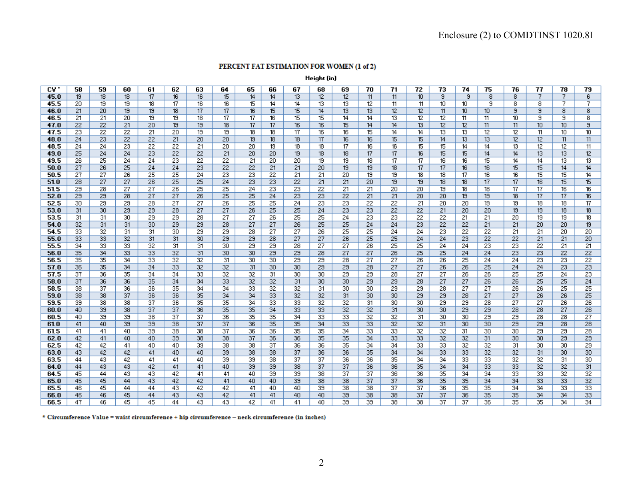#### PERCENT FAT ESTIMATION FOR WOMEN (1 of 2)

Height (in)

| cv   | 58 | 59 | 60               | 61 | 62 | 63 | 64               | 65              | 66              | 67              | 68 | 69 | 70              | 71 | 72               | 73 | 74 | 75 | 76               | 77               | 78             | 79               |
|------|----|----|------------------|----|----|----|------------------|-----------------|-----------------|-----------------|----|----|-----------------|----|------------------|----|----|----|------------------|------------------|----------------|------------------|
| 45.0 | 19 | 18 | 18 <sup>18</sup> | 17 | 16 | 16 | 15               | 14              | 14              | 13              | 12 | 12 | 11              | 11 | 10 <sub>10</sub> | Э  | 9  | 8  | 8                | $\overline{7}$   | $\overline{7}$ | 6                |
| 45.5 | 20 | 19 | 19               | 18 | 17 | 16 | 16               | 15              | 14              | 14              | 13 | 13 | 12              | 11 | 11               | 10 | 10 | э  | 8                | 8                | 7              | 7                |
| 46.0 | 21 | 20 | 19               | 19 | 18 | 17 | 17               | 16              | 15              | 15              | 14 | 13 | 13 <sup>°</sup> | 12 | 12               | 11 | 10 | 10 | 9.               | 9                | 8              | 8                |
| 46.5 | 21 | 21 | 20               | 19 | 19 | 18 | 17               | 17              | 16              | 15              | 15 | 14 | 14              | 13 | 12               | 12 | 11 | 11 | 10 <sup>10</sup> | э                | Э              | 8                |
| 47.0 | 22 | 22 | 21               | 20 | 19 | 19 | 18 <sub>18</sub> | 17              | 17              | 16              | 16 | 15 | 14              | 14 | 13               | 12 | 12 | 11 | 11               | 10 <sub>10</sub> | 10             | 9                |
| 47.5 | 23 | 22 | 22               | 21 | 20 | 19 | 19               | 18              | 18              | 17              | 16 | 16 | 15              | 14 | 14               | 13 | 13 | 12 | 12               | 11               | 10             | 10 <sub>10</sub> |
| 48.0 | 24 | 23 | 22               | 22 | 21 | 20 | 20               | 19              | 18              | 18              | 17 | 16 | 16              | 15 | 15               | 14 | 13 | 13 | 12               | 12               | 11             | 11               |
| 48.5 | 24 | 24 | 23               | 22 | 22 | 21 | 20               | 20              | 19              | 18              | 18 | 17 | 16              | 16 | 15               | 15 | 14 | 14 | 13               | 12               | 12             | 11               |
| 49.0 | 25 | 24 | 24               | 23 | 22 | 22 | 21               | 20 <sub>2</sub> | 20              | 19              | 18 | 18 | 17              | 17 | 16               | 15 | 15 | 14 | 14               | 13               | 13             | 12               |
| 49.5 | 26 | 25 | 24               | 24 | 23 | 22 | 22               | 21              | 20              | 20              | 19 | 19 | 18              | 17 | 17               | 16 | 16 | 15 | 14               | 14               | 13             | $\overline{13}$  |
| 50.0 | 27 | 26 | 25               | 24 | 24 | 23 | 22               | 22              | 21              | 21              | 20 | 19 | 19              | 18 | 17               | 17 | 16 | 16 | 15               | 15               | 14             | 14               |
| 50.5 | 27 | 27 | 26               | 25 | 25 | 24 | 23               | 23              | 22              | 21              | 21 | 20 | 19              | 19 | 18               | 18 | 17 | 16 | 16               | 15               | 15             | 14               |
| 51.0 | 28 | 27 | 27               | 26 | 25 | 25 | 24               | 23              | 23              | 22              | 21 | 21 | 20              | 19 | 19               | 18 | 18 | 17 | 17               | 16               | 15             | 15               |
| 51.5 | 29 | 28 | 27               | 27 | 26 | 25 | 25               | 24              | 23              | 23              | 22 | 21 | 21              | 20 | 20               | 19 | 18 | 18 | 17               | 17               | 16             | 16               |
| 52.0 | 29 | 29 | 28               | 27 | 27 | 26 | 25               | 25              | 24              | 23              | 23 | 22 | 21              | 21 | 20               | 20 | 19 | 19 | 18               | 17               | 17             | 16               |
| 52.5 | 30 | 29 | 29               | 28 | 27 | 27 | 26               | 25              | 25              | 24              | 23 | 23 | 22              | 22 | 21               | 20 | 20 | 19 | 19               | 18               | 18             | 17               |
| 53.0 | 31 | 30 | 29               | 29 | 28 | 27 | 27               | 26              | 25              | 25              | 24 | 23 | 23              | 22 | 22               | 21 | 20 | 20 | 19               | 19               | 18             | 18               |
| 53.5 | 31 | 31 | 30               | 29 | 29 | 28 | 27               | 27              | 26              | 25              | 25 | 24 | 23              | 23 | 22               | 22 | 21 | 21 | 20               | 19               | 19             | 18               |
| 54.0 | 32 | 31 | 31               | 30 | 29 | 29 | 28               | 27              | 27              | 26              | 25 | 25 | 24              | 24 | 23               | 22 | 22 | 21 | 21               | 20               | 20             | 19               |
| 54.5 | 33 | 32 | 31               | 31 | 30 | 29 | 29               | 28              | 27              | 27              | 26 | 25 | 25              | 24 | 24               | 23 | 22 | 22 | 21               | 21               | 20             | 20               |
| 55.0 | 33 | 33 | 32               | 31 | 31 | 30 | 29               | 29              | 28              | 27              | 27 | 26 | 25              | 25 | 24               | 24 | 23 | 22 | 22               | 21               | 21             | 20               |
| 55.5 | 34 | 33 | 33               | 32 | 31 | 31 | 30               | 29              | 29              | 28              | 27 | 27 | 26              | 25 | 25               | 24 | 24 | 23 | 23               | 22               | 21             | 21               |
| 56.0 | 35 | 34 | 33               | 33 | 32 | 31 | 30 <sub>2</sub>  | 30              | 29              | 29              | 28 | 27 | 27              | 26 | 25               | 25 | 24 | 24 | 23               | 23               | 22             | 22               |
| 56.5 | 35 | 35 | 34               | 33 | 32 | 32 | 31               | 30              | 30              | 29              | 29 | 28 | 27              | 27 | 26               | 26 | 25 | 24 | 24               | 23               | 23             | 22               |
| 57.0 | 36 | 35 | 34               | 34 | 33 | 32 | 32               | 31              | 30 <sub>2</sub> | 30              | 29 | 29 | 28              | 27 | 27               | 26 | 26 | 25 | 24               | 24               | 23             | 23               |
| 57.5 | 37 | 36 | 35               | 34 | 34 | 33 | 32               | 32              | 31              | 30 <sub>2</sub> | 30 | 29 | 29              | 28 | 27               | 27 | 26 | 26 | 25               | 25               | 24             | 23               |
| 58.0 | 37 | 36 | 36               | 35 | 34 | 34 | 33 <sup>7</sup>  | 32              | 32              | 31              | 30 | 30 | 29              | 29 | 28               | 27 | 27 | 26 | 26               | 25               | 25             | 24               |
| 58.5 | 38 | 37 | 36               | 36 | 35 | 34 | 34               | 33              | 32              | 32              | 31 | 30 | 30              | 29 | 29               | 28 | 27 | 27 | 26               | 26               | 25             | 25               |
| 59.0 | 38 | 38 | 37               | 36 | 36 | 35 | 34               | 34              | 33              | 32              | 32 | 31 | 30              | 30 | 29               | 29 | 28 | 27 | 27               | 26               | 26             | 25               |
| 59.5 | 39 | 38 | 38               | 37 | 36 | 35 | 35               | 34              | 33              | 33              | 32 | 32 | 31              | 30 | 30               | 29 | 29 | 28 | 27               | 27               | 26             | 26               |
| 60.0 | 40 | 39 | 38               | 37 | 37 | 36 | 35               | 35              | 34              | 33              | 33 | 32 | 32              | 31 | 30               | 30 | 29 | 29 | 28               | 28               | 27             | 26               |
| 60.5 | 40 | 39 | 39               | 38 | 37 | 37 | 36               | 35              | 35              | 34              | 33 | 33 | 32              | 32 | 31               | 30 | 30 | 29 | 29               | 28               | 28             | 27               |
| 61.0 | 41 | 40 | 39               | 39 | 38 | 37 | 37               | 36              | 35              | 35              | 34 | 33 | 33              | 32 | 32               | 31 | 30 | 30 | 29               | 29               | 28             | 28               |
| 61.5 | 41 | 41 | 40               | 39 | 38 | 38 | 37               | 36              | 36              | 35              | 35 | 34 | 33              | 33 | 32               | 32 | 31 | 30 | 30               | 29               | 29             | 28               |
| 62.0 | 42 | 41 | 40               | 40 | 39 | 38 | 38               | 37              | 36              | 36              | 35 | 35 | 34              | 33 | 33               | 32 | 32 | 31 | 30               | 30               | 29             | 29               |
| 62.5 | 42 | 42 | 41               | 40 | 40 | 39 | 38               | 38              | 37              | 36              | 36 | 35 | 34              | 34 | 33               | 33 | 32 | 32 | 31               | 30               | 30             | 29               |
| 63.0 | 43 | 42 | 42               | 41 | 40 | 40 | 39               | 38              | 38              | 37              | 36 | 36 | 35              | 34 | 34               | 33 | 33 | 32 | 32               | 31               | 30             | 30               |
| 63.5 | 44 | 43 | 42               | 41 | 41 | 40 | 39               | 39              | 38              | 37              | 37 | 36 | 36              | 35 | 34               | 34 | 33 | 33 | 32               | 32               | 31             | 30               |
| 64.0 | 44 | 43 | 43               | 42 | 41 | 41 | 40               | 39              | 39              | 38              | 37 | 37 | 36              | 36 | 35               | 34 | 34 | 33 | 33               | 32               | 32             | 31               |
| 64.5 | 45 | 44 | 43               | 43 | 42 | 41 | 41               | 40              | 39              | 39              | 38 | 37 | 37              | 36 | 36               | 35 | 34 | 34 | 33               | 33               | 32             | 32               |
| 65.0 | 45 | 45 | 44               | 43 | 42 | 42 | 41               | 40              | 40              | 39              | 38 | 38 | 37              | 37 | 36               | 35 | 35 | 34 | 34               | 33               | 33             | 32               |
| 65.5 | 46 | 45 | 44               | 44 | 43 | 42 | 42               | 41              | 40              | 40              | 39 | 38 | 38              | 37 | 37               | 36 | 35 | 35 | 34               | 34               | 33             | 33               |
| 66.0 | 46 | 46 | 45               | 44 | 43 | 43 | 42               | 41              | 41              | 40              | 40 | 39 | 38              | 38 | 37               | 37 | 36 | 35 | 35               | 34               | 34             | 33               |
| 66.5 | 47 | 46 | 45               | 45 | 44 | 43 | 43               | 42              | 41              | 41              | 40 | 39 | 39              | 38 | 38               | 37 | 37 | 36 | 35               | 35               | 34             | 34               |

 $^\star$  Circumference Value = waist circumference + hip circumference - neck circumference (in inches)